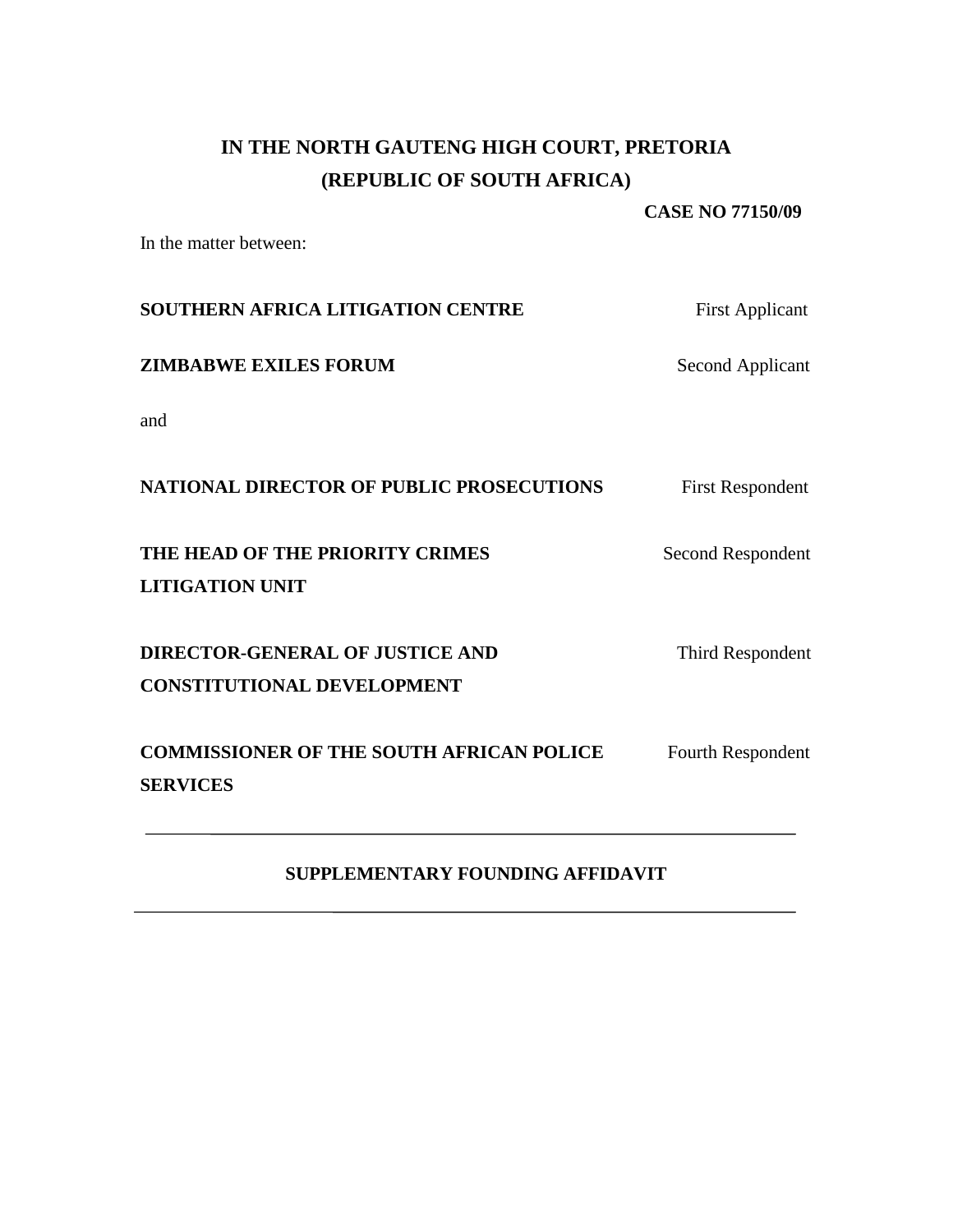## **IN THE NORTH GAUTENG HIGH COURT, PRETORIA (REPUBLIC OF SOUTH AFRICA)**

#### **CASE NO 77150/09**

In the matter between:

| SOUTHERN AFRICA LITIGATION CENTRE                                           | <b>First Applicant</b>  |
|-----------------------------------------------------------------------------|-------------------------|
| <b>ZIMBABWE EXILES FORUM</b>                                                | Second Applicant        |
| and                                                                         |                         |
| <b>NATIONAL DIRECTOR OF PUBLIC PROSECUTIONS</b>                             | <b>First Respondent</b> |
| THE HEAD OF THE PRIORITY CRIMES<br><b>LITIGATION UNIT</b>                   | Second Respondent       |
| <b>DIRECTOR-GENERAL OF JUSTICE AND</b><br><b>CONSTITUTIONAL DEVELOPMENT</b> | Third Respondent        |
| <b>COMMISSIONER OF THE SOUTH AFRICAN POLICE</b><br><b>SERVICES</b>          | Fourth Respondent       |

## **SUPPLEMENTARY FOUNDING AFFIDAVIT**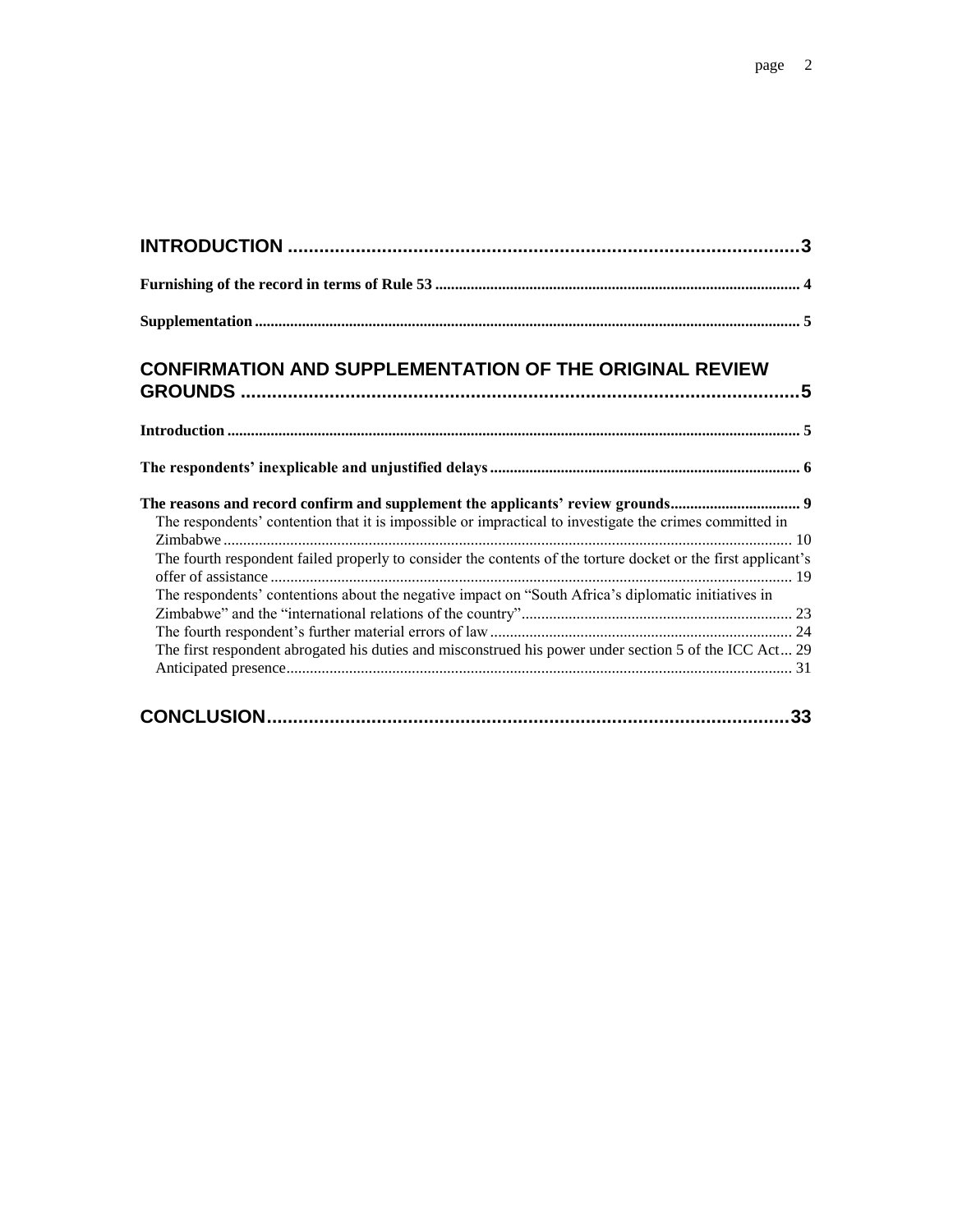| <b>CONFIRMATION AND SUPPLEMENTATION OF THE ORIGINAL REVIEW</b>                                                                                                                            |  |
|-------------------------------------------------------------------------------------------------------------------------------------------------------------------------------------------|--|
|                                                                                                                                                                                           |  |
|                                                                                                                                                                                           |  |
| The reasons and record confirm and supplement the applicants' review grounds 9<br>The respondents' contention that it is impossible or impractical to investigate the crimes committed in |  |
| The fourth respondent failed properly to consider the contents of the torture docket or the first applicant's                                                                             |  |
| The respondents' contentions about the negative impact on "South Africa's diplomatic initiatives in                                                                                       |  |
|                                                                                                                                                                                           |  |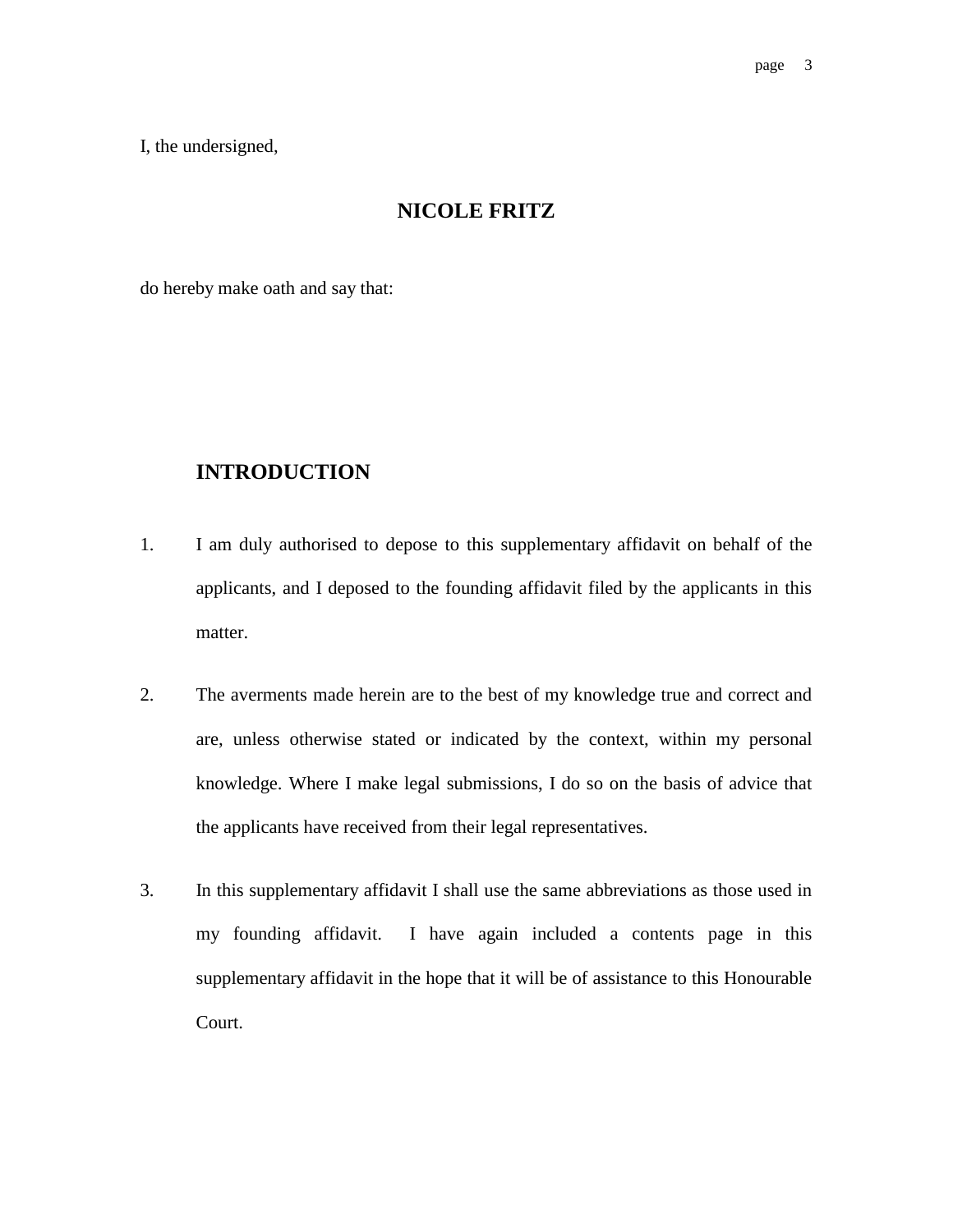I, the undersigned,

#### **NICOLE FRITZ**

do hereby make oath and say that:

## **INTRODUCTION**

- 1. I am duly authorised to depose to this supplementary affidavit on behalf of the applicants, and I deposed to the founding affidavit filed by the applicants in this matter.
- 2. The averments made herein are to the best of my knowledge true and correct and are, unless otherwise stated or indicated by the context, within my personal knowledge. Where I make legal submissions, I do so on the basis of advice that the applicants have received from their legal representatives.
- 3. In this supplementary affidavit I shall use the same abbreviations as those used in my founding affidavit. I have again included a contents page in this supplementary affidavit in the hope that it will be of assistance to this Honourable Court.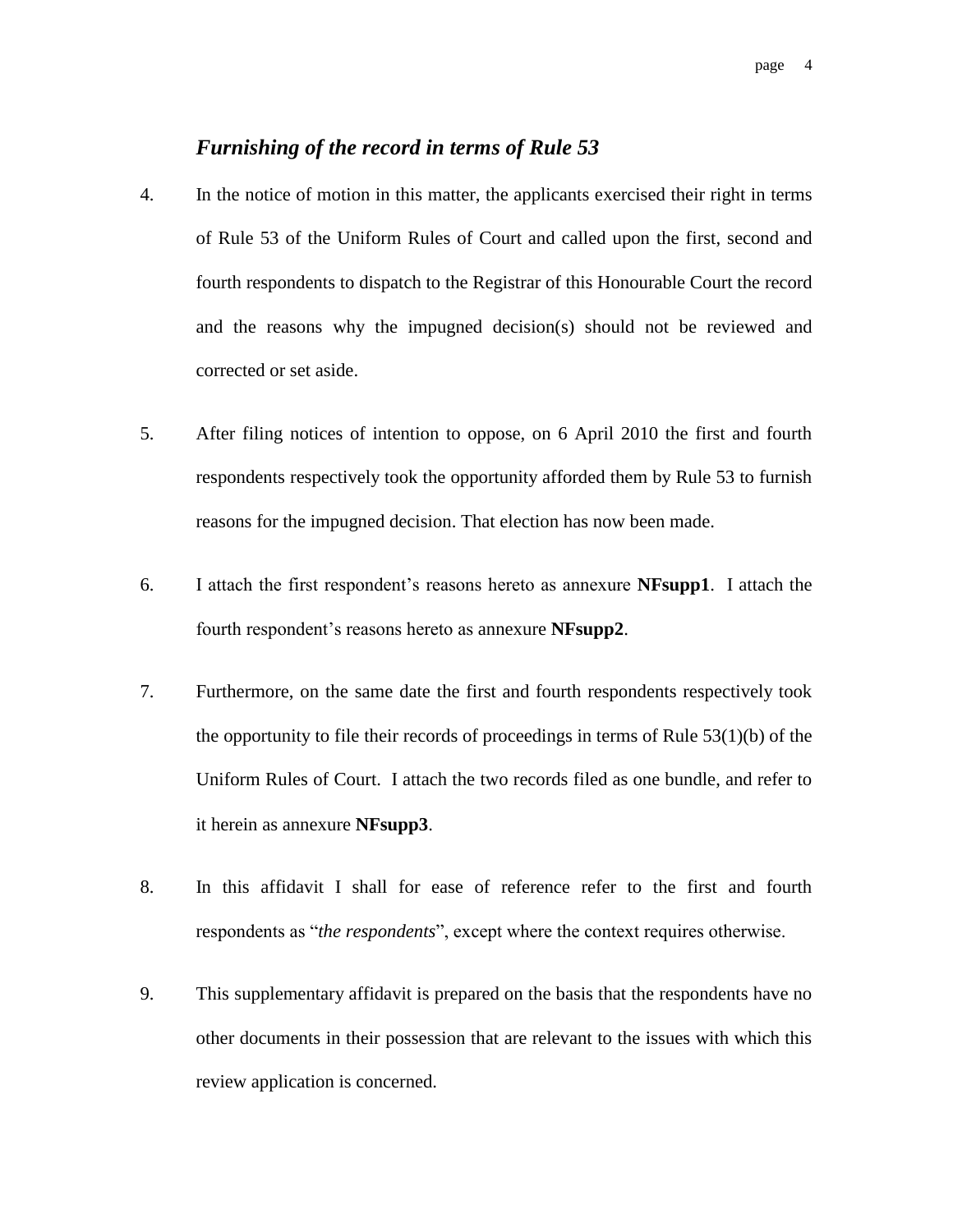### *Furnishing of the record in terms of Rule 53*

- 4. In the notice of motion in this matter, the applicants exercised their right in terms of Rule 53 of the Uniform Rules of Court and called upon the first, second and fourth respondents to dispatch to the Registrar of this Honourable Court the record and the reasons why the impugned decision(s) should not be reviewed and corrected or set aside.
- 5. After filing notices of intention to oppose, on 6 April 2010 the first and fourth respondents respectively took the opportunity afforded them by Rule 53 to furnish reasons for the impugned decision. That election has now been made.
- 6. I attach the first respondent's reasons hereto as annexure **NFsupp1**. I attach the fourth respondent's reasons hereto as annexure **NFsupp2**.
- 7. Furthermore, on the same date the first and fourth respondents respectively took the opportunity to file their records of proceedings in terms of Rule 53(1)(b) of the Uniform Rules of Court. I attach the two records filed as one bundle, and refer to it herein as annexure **NFsupp3**.
- 8. In this affidavit I shall for ease of reference refer to the first and fourth respondents as "*the respondents*", except where the context requires otherwise.
- 9. This supplementary affidavit is prepared on the basis that the respondents have no other documents in their possession that are relevant to the issues with which this review application is concerned.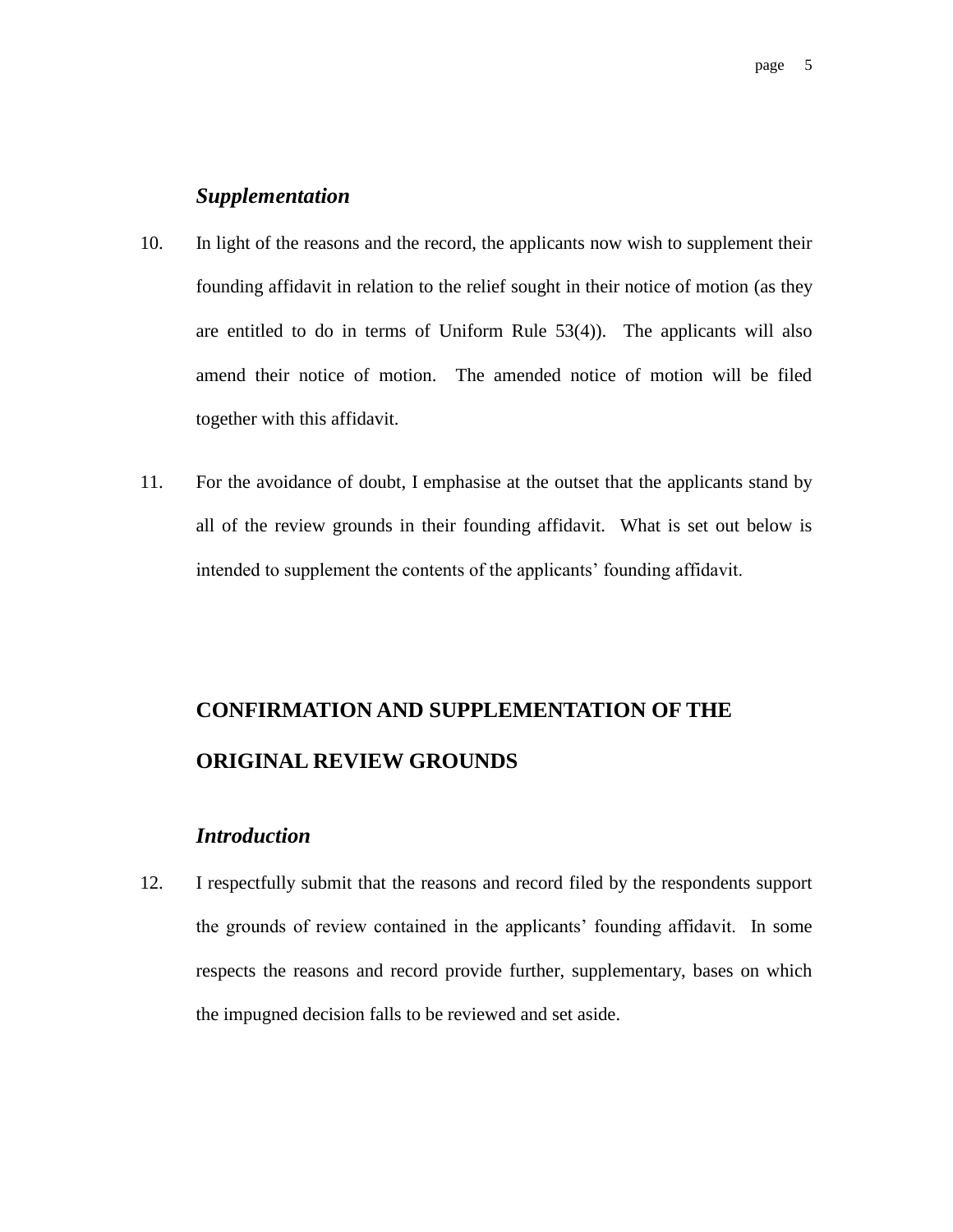#### *Supplementation*

- 10. In light of the reasons and the record, the applicants now wish to supplement their founding affidavit in relation to the relief sought in their notice of motion (as they are entitled to do in terms of Uniform Rule 53(4)). The applicants will also amend their notice of motion. The amended notice of motion will be filed together with this affidavit.
- 11. For the avoidance of doubt, I emphasise at the outset that the applicants stand by all of the review grounds in their founding affidavit. What is set out below is intended to supplement the contents of the applicants' founding affidavit.

# **CONFIRMATION AND SUPPLEMENTATION OF THE ORIGINAL REVIEW GROUNDS**

#### *Introduction*

12. I respectfully submit that the reasons and record filed by the respondents support the grounds of review contained in the applicants' founding affidavit. In some respects the reasons and record provide further, supplementary, bases on which the impugned decision falls to be reviewed and set aside.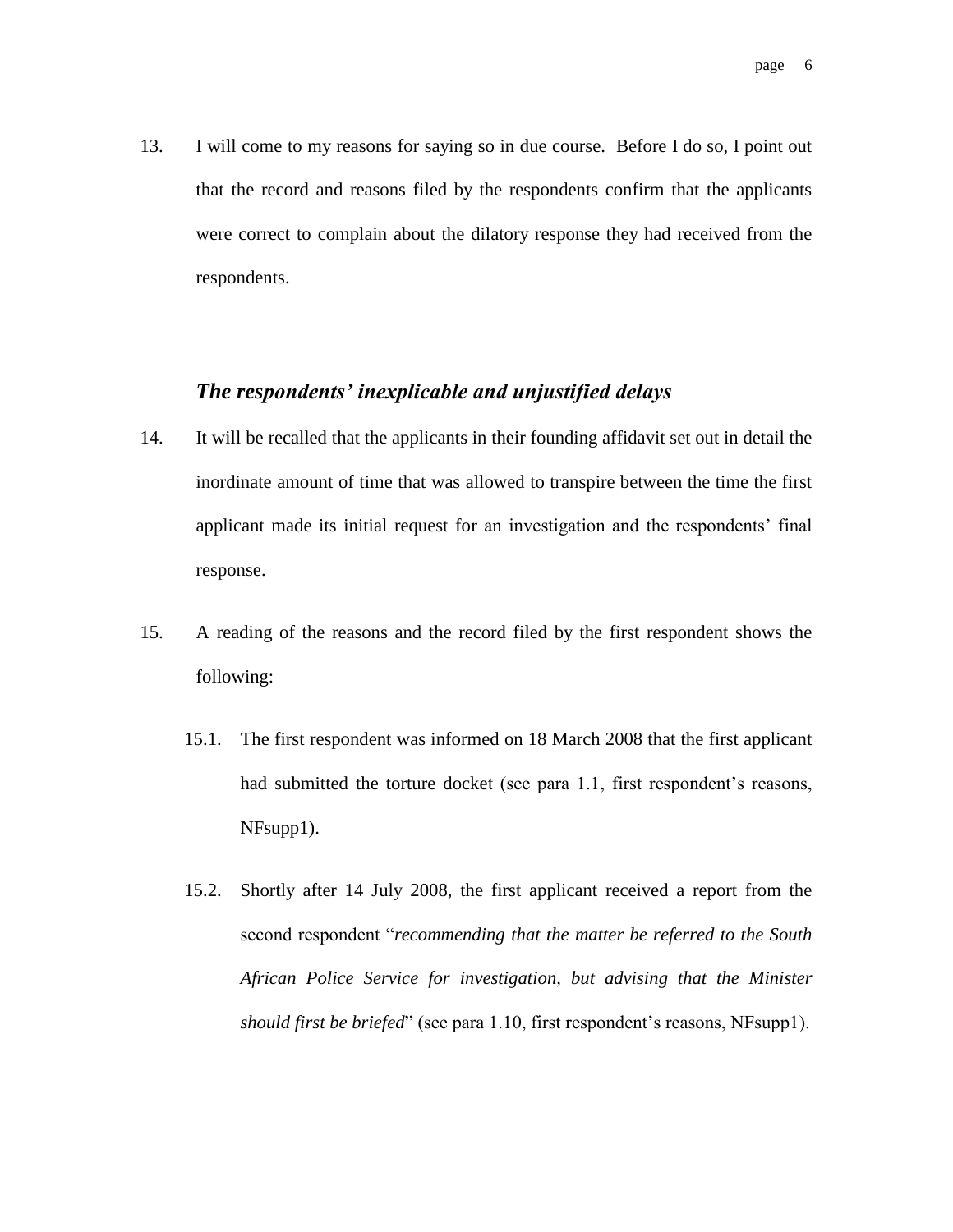13. I will come to my reasons for saying so in due course. Before I do so, I point out that the record and reasons filed by the respondents confirm that the applicants were correct to complain about the dilatory response they had received from the respondents.

#### *The respondents' inexplicable and unjustified delays*

- 14. It will be recalled that the applicants in their founding affidavit set out in detail the inordinate amount of time that was allowed to transpire between the time the first applicant made its initial request for an investigation and the respondents' final response.
- 15. A reading of the reasons and the record filed by the first respondent shows the following:
	- 15.1. The first respondent was informed on 18 March 2008 that the first applicant had submitted the torture docket (see para 1.1, first respondent's reasons, NFsupp1).
	- 15.2. Shortly after 14 July 2008, the first applicant received a report from the second respondent "*recommending that the matter be referred to the South African Police Service for investigation, but advising that the Minister should first be briefed*" (see para 1.10, first respondent's reasons, NFsupp1).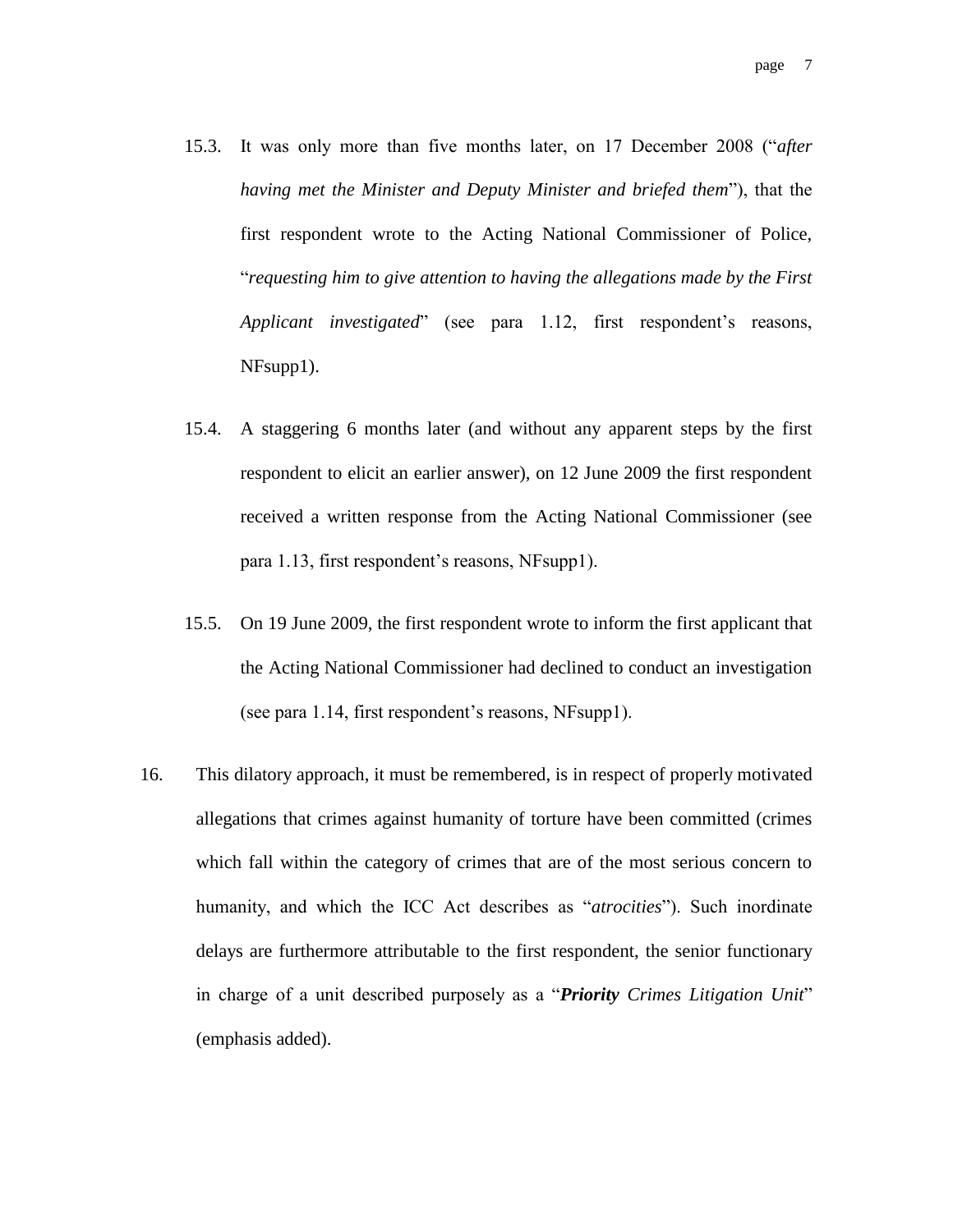- 15.3. It was only more than five months later, on 17 December 2008 ("*after having met the Minister and Deputy Minister and briefed them*"), that the first respondent wrote to the Acting National Commissioner of Police, "*requesting him to give attention to having the allegations made by the First Applicant investigated*" (see para 1.12, first respondent's reasons, NFsupp1).
- 15.4. A staggering 6 months later (and without any apparent steps by the first respondent to elicit an earlier answer), on 12 June 2009 the first respondent received a written response from the Acting National Commissioner (see para 1.13, first respondent's reasons, NFsupp1).
- 15.5. On 19 June 2009, the first respondent wrote to inform the first applicant that the Acting National Commissioner had declined to conduct an investigation (see para 1.14, first respondent's reasons, NFsupp1).
- 16. This dilatory approach, it must be remembered, is in respect of properly motivated allegations that crimes against humanity of torture have been committed (crimes which fall within the category of crimes that are of the most serious concern to humanity, and which the ICC Act describes as "*atrocities*"). Such inordinate delays are furthermore attributable to the first respondent, the senior functionary in charge of a unit described purposely as a "*Priority Crimes Litigation Unit*" (emphasis added).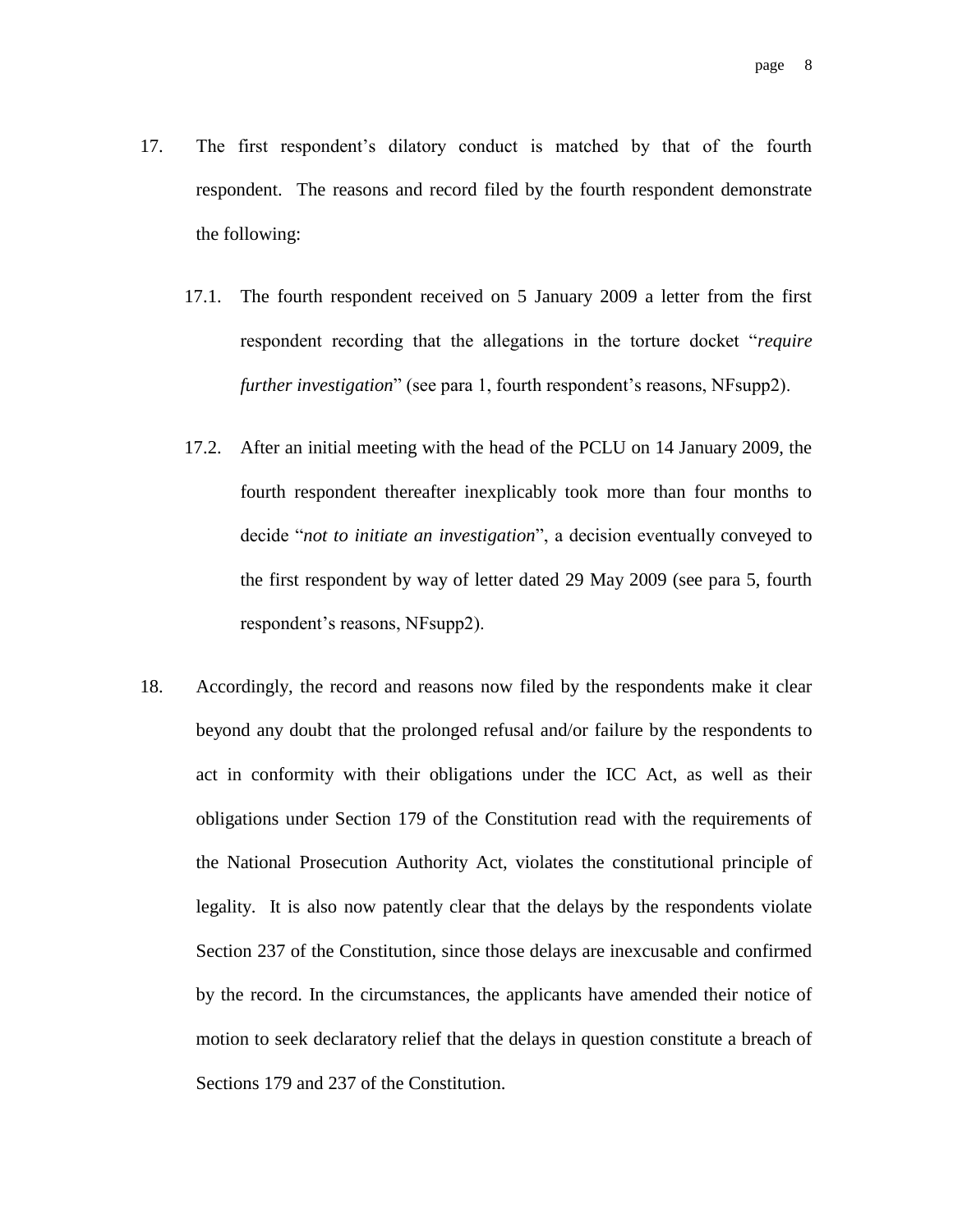- 17. The first respondent's dilatory conduct is matched by that of the fourth respondent. The reasons and record filed by the fourth respondent demonstrate the following:
	- 17.1. The fourth respondent received on 5 January 2009 a letter from the first respondent recording that the allegations in the torture docket "*require further investigation*" (see para 1, fourth respondent's reasons, NFsupp2).
	- 17.2. After an initial meeting with the head of the PCLU on 14 January 2009, the fourth respondent thereafter inexplicably took more than four months to decide "*not to initiate an investigation*", a decision eventually conveyed to the first respondent by way of letter dated 29 May 2009 (see para 5, fourth respondent's reasons, NFsupp2).
- 18. Accordingly, the record and reasons now filed by the respondents make it clear beyond any doubt that the prolonged refusal and/or failure by the respondents to act in conformity with their obligations under the ICC Act, as well as their obligations under Section 179 of the Constitution read with the requirements of the National Prosecution Authority Act, violates the constitutional principle of legality. It is also now patently clear that the delays by the respondents violate Section 237 of the Constitution, since those delays are inexcusable and confirmed by the record. In the circumstances, the applicants have amended their notice of motion to seek declaratory relief that the delays in question constitute a breach of Sections 179 and 237 of the Constitution.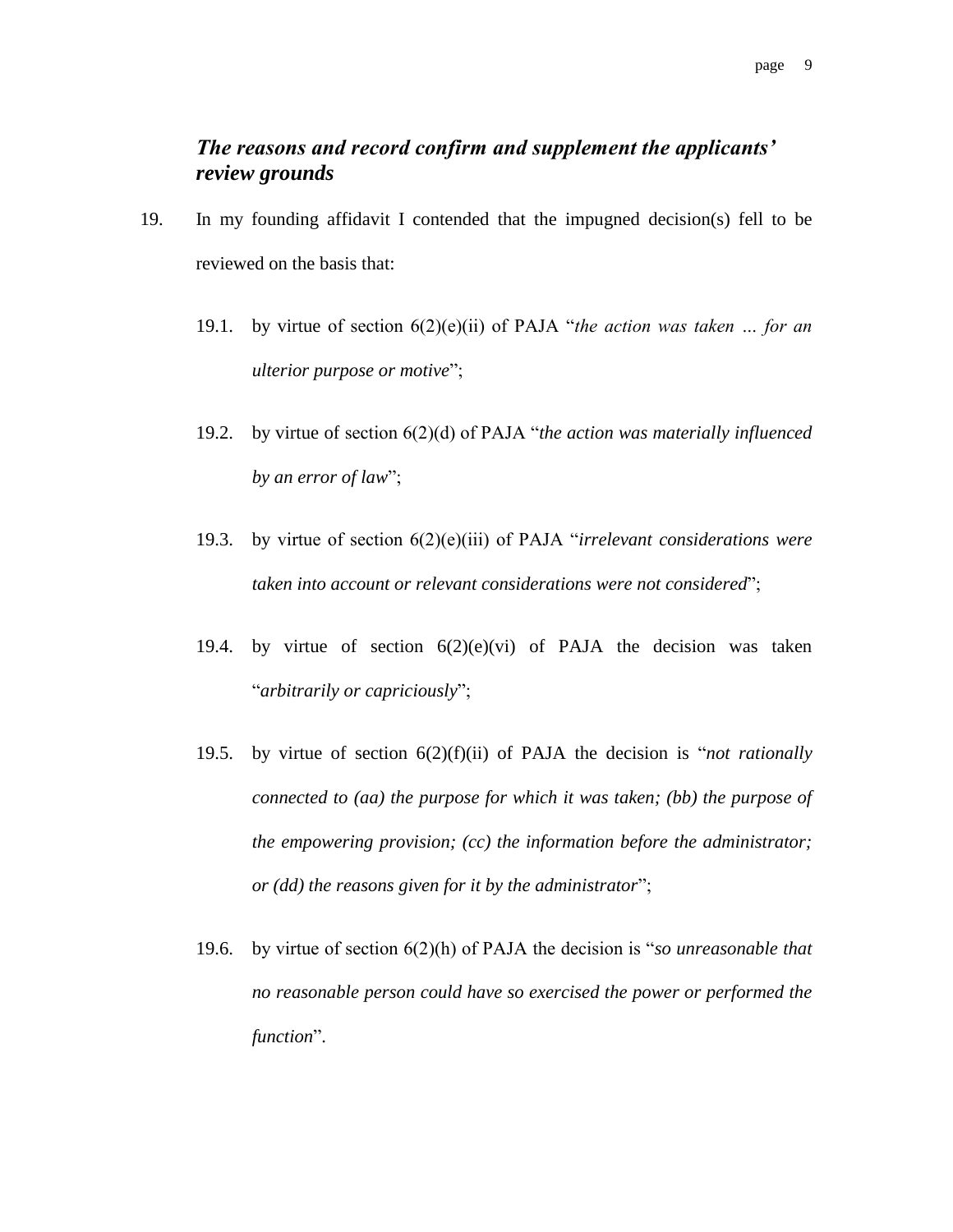## *The reasons and record confirm and supplement the applicants' review grounds*

- 19. In my founding affidavit I contended that the impugned decision(s) fell to be reviewed on the basis that:
	- 19.1. by virtue of section 6(2)(e)(ii) of PAJA "*the action was taken … for an ulterior purpose or motive*";
	- 19.2. by virtue of section 6(2)(d) of PAJA "*the action was materially influenced by an error of law*";
	- 19.3. by virtue of section 6(2)(e)(iii) of PAJA "*irrelevant considerations were taken into account or relevant considerations were not considered*";
	- 19.4. by virtue of section  $6(2)(e)(vi)$  of PAJA the decision was taken "*arbitrarily or capriciously*";
	- 19.5. by virtue of section 6(2)(f)(ii) of PAJA the decision is "*not rationally connected to (aa) the purpose for which it was taken; (bb) the purpose of the empowering provision; (cc) the information before the administrator; or (dd) the reasons given for it by the administrator*";
	- 19.6. by virtue of section 6(2)(h) of PAJA the decision is "*so unreasonable that no reasonable person could have so exercised the power or performed the function*".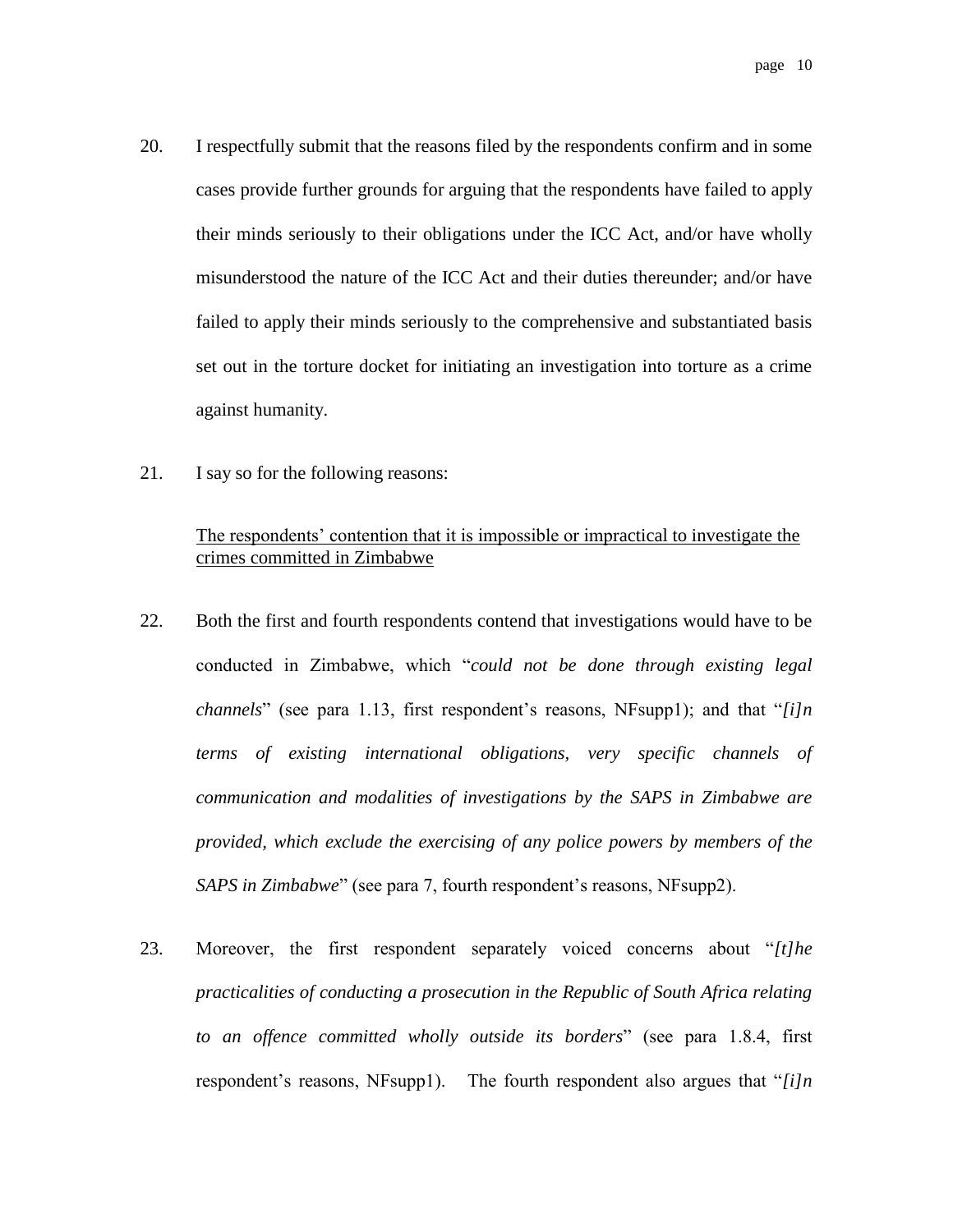- 20. I respectfully submit that the reasons filed by the respondents confirm and in some cases provide further grounds for arguing that the respondents have failed to apply their minds seriously to their obligations under the ICC Act, and/or have wholly misunderstood the nature of the ICC Act and their duties thereunder; and/or have failed to apply their minds seriously to the comprehensive and substantiated basis set out in the torture docket for initiating an investigation into torture as a crime against humanity.
- 21. I say so for the following reasons:

#### The respondents' contention that it is impossible or impractical to investigate the crimes committed in Zimbabwe

- 22. Both the first and fourth respondents contend that investigations would have to be conducted in Zimbabwe, which "*could not be done through existing legal channels*" (see para 1.13, first respondent's reasons, NFsupp1); and that "*[i]n terms of existing international obligations, very specific channels of communication and modalities of investigations by the SAPS in Zimbabwe are provided, which exclude the exercising of any police powers by members of the SAPS in Zimbabwe*" (see para 7, fourth respondent's reasons, NFsupp2).
- 23. Moreover, the first respondent separately voiced concerns about "*[t]he practicalities of conducting a prosecution in the Republic of South Africa relating to an offence committed wholly outside its borders*" (see para 1.8.4, first respondent's reasons, NFsupp1). The fourth respondent also argues that "*[i]n*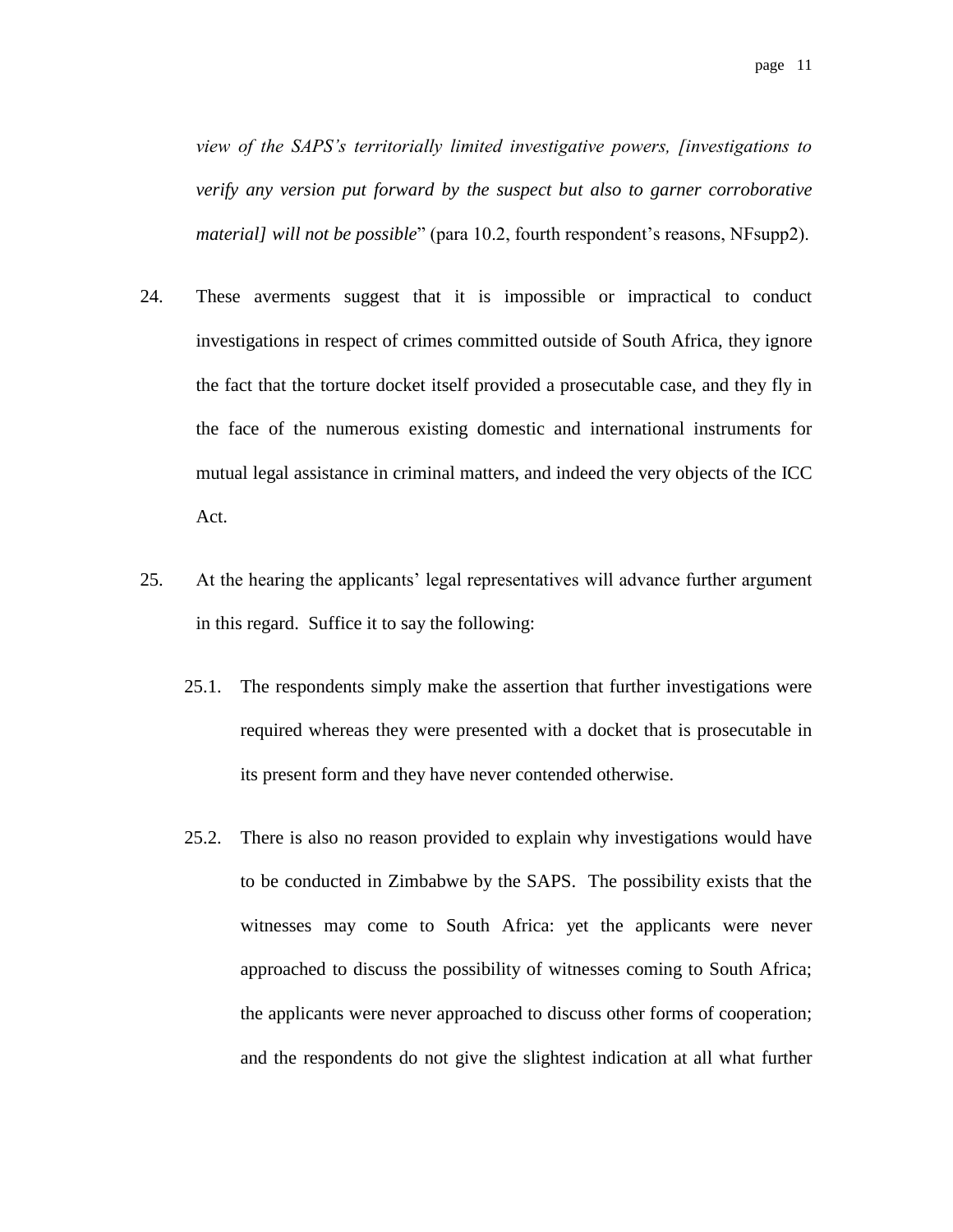*view of the SAPS's territorially limited investigative powers, [investigations to verify any version put forward by the suspect but also to garner corroborative material] will not be possible*" (para 10.2, fourth respondent's reasons, NFsupp2).

- 24. These averments suggest that it is impossible or impractical to conduct investigations in respect of crimes committed outside of South Africa, they ignore the fact that the torture docket itself provided a prosecutable case, and they fly in the face of the numerous existing domestic and international instruments for mutual legal assistance in criminal matters, and indeed the very objects of the ICC Act.
- 25. At the hearing the applicants' legal representatives will advance further argument in this regard. Suffice it to say the following:
	- 25.1. The respondents simply make the assertion that further investigations were required whereas they were presented with a docket that is prosecutable in its present form and they have never contended otherwise.
	- 25.2. There is also no reason provided to explain why investigations would have to be conducted in Zimbabwe by the SAPS. The possibility exists that the witnesses may come to South Africa: yet the applicants were never approached to discuss the possibility of witnesses coming to South Africa; the applicants were never approached to discuss other forms of cooperation; and the respondents do not give the slightest indication at all what further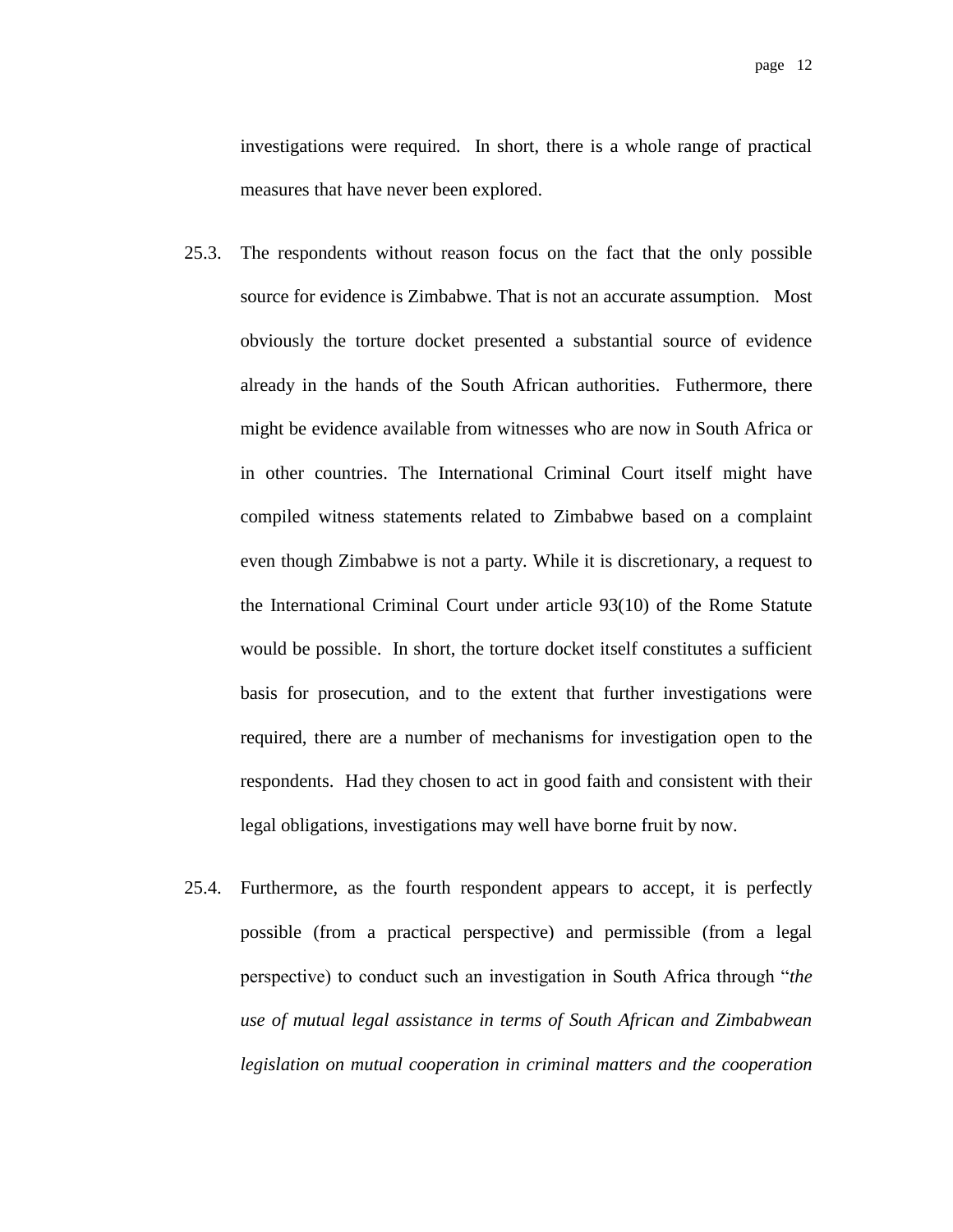investigations were required. In short, there is a whole range of practical measures that have never been explored.

- 25.3. The respondents without reason focus on the fact that the only possible source for evidence is Zimbabwe. That is not an accurate assumption. Most obviously the torture docket presented a substantial source of evidence already in the hands of the South African authorities. Futhermore, there might be evidence available from witnesses who are now in South Africa or in other countries. The International Criminal Court itself might have compiled witness statements related to Zimbabwe based on a complaint even though Zimbabwe is not a party. While it is discretionary, a request to the International Criminal Court under article 93(10) of the Rome Statute would be possible. In short, the torture docket itself constitutes a sufficient basis for prosecution, and to the extent that further investigations were required, there are a number of mechanisms for investigation open to the respondents. Had they chosen to act in good faith and consistent with their legal obligations, investigations may well have borne fruit by now.
- 25.4. Furthermore, as the fourth respondent appears to accept, it is perfectly possible (from a practical perspective) and permissible (from a legal perspective) to conduct such an investigation in South Africa through "*the use of mutual legal assistance in terms of South African and Zimbabwean legislation on mutual cooperation in criminal matters and the cooperation*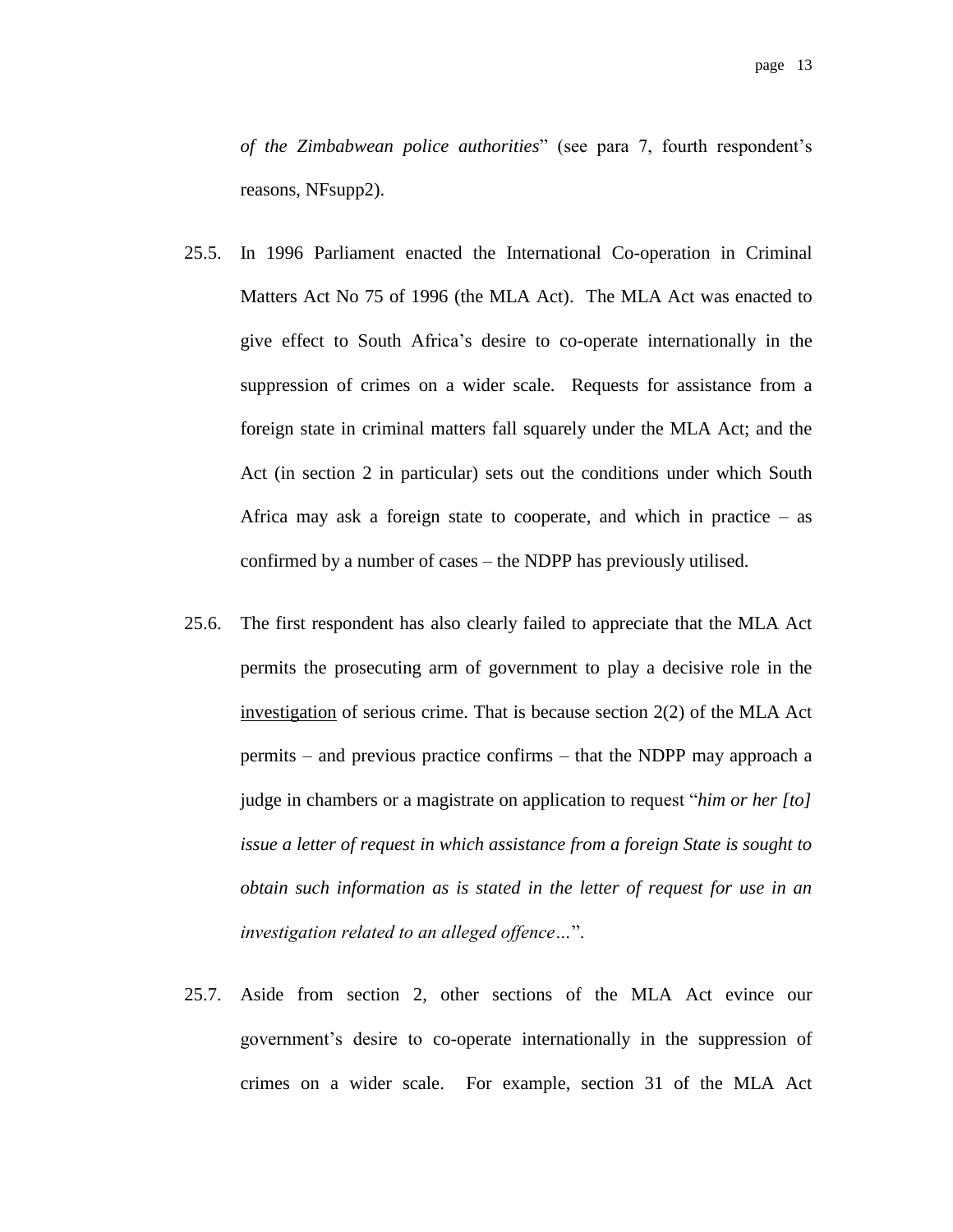*of the Zimbabwean police authorities*" (see para 7, fourth respondent's reasons, NFsupp2).

- 25.5. In 1996 Parliament enacted the International Co-operation in Criminal Matters Act No 75 of 1996 (the MLA Act). The MLA Act was enacted to give effect to South Africa's desire to co-operate internationally in the suppression of crimes on a wider scale. Requests for assistance from a foreign state in criminal matters fall squarely under the MLA Act; and the Act (in section 2 in particular) sets out the conditions under which South Africa may ask a foreign state to cooperate, and which in practice  $-$  as confirmed by a number of cases – the NDPP has previously utilised.
- 25.6. The first respondent has also clearly failed to appreciate that the MLA Act permits the prosecuting arm of government to play a decisive role in the investigation of serious crime. That is because section 2(2) of the MLA Act permits – and previous practice confirms – that the NDPP may approach a judge in chambers or a magistrate on application to request "*him or her [to] issue a letter of request in which assistance from a foreign State is sought to obtain such information as is stated in the letter of request for use in an investigation related to an alleged offence…*".
- 25.7. Aside from section 2, other sections of the MLA Act evince our government's desire to co-operate internationally in the suppression of crimes on a wider scale. For example, section 31 of the MLA Act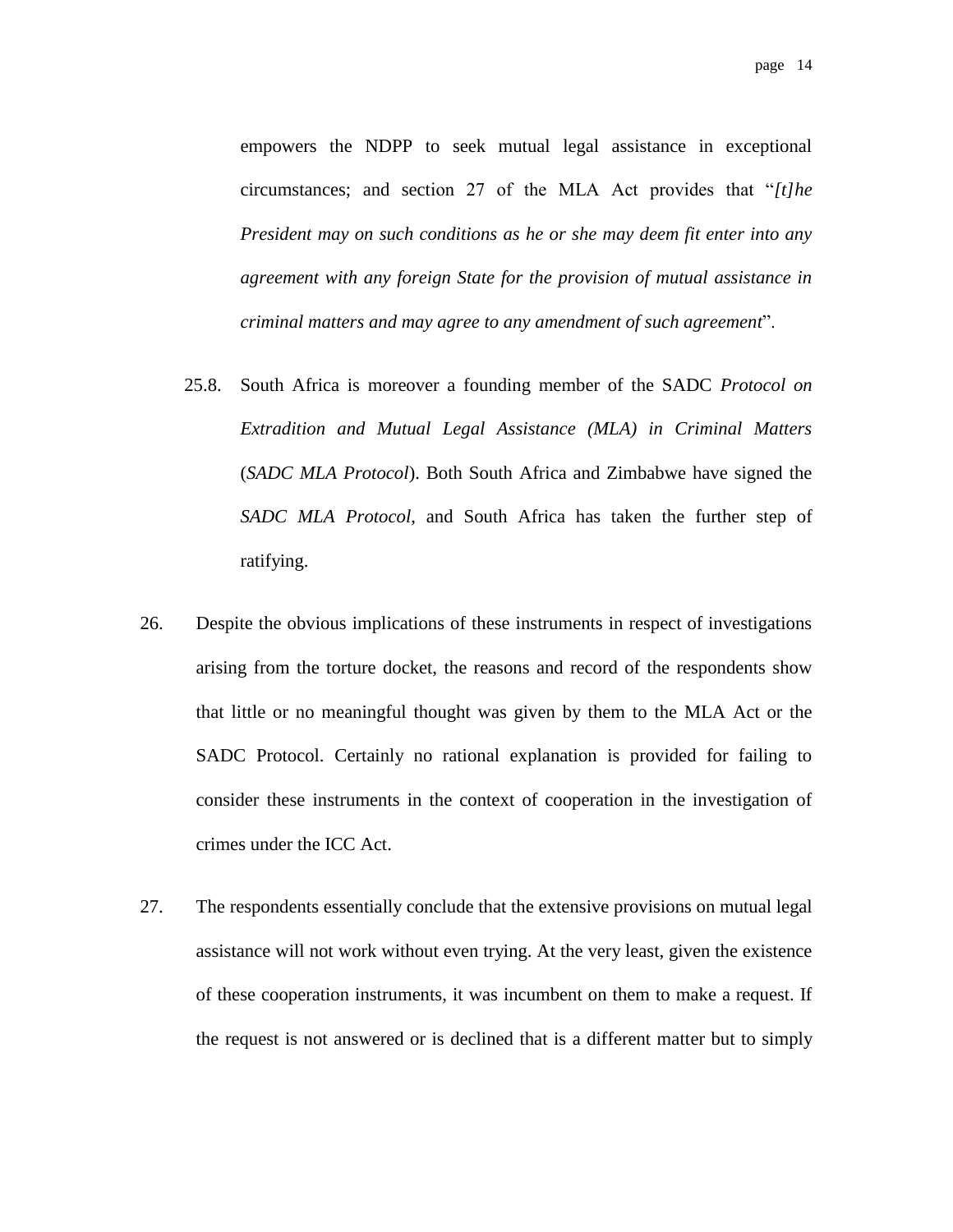empowers the NDPP to seek mutual legal assistance in exceptional circumstances; and section 27 of the MLA Act provides that "*[t]he President may on such conditions as he or she may deem fit enter into any agreement with any foreign State for the provision of mutual assistance in criminal matters and may agree to any amendment of such agreement*".

- 25.8. South Africa is moreover a founding member of the SADC *Protocol on Extradition and Mutual Legal Assistance (MLA) in Criminal Matters* (*SADC MLA Protocol*). Both South Africa and Zimbabwe have signed the *SADC MLA Protocol*, and South Africa has taken the further step of ratifying.
- 26. Despite the obvious implications of these instruments in respect of investigations arising from the torture docket, the reasons and record of the respondents show that little or no meaningful thought was given by them to the MLA Act or the SADC Protocol. Certainly no rational explanation is provided for failing to consider these instruments in the context of cooperation in the investigation of crimes under the ICC Act.
- 27. The respondents essentially conclude that the extensive provisions on mutual legal assistance will not work without even trying. At the very least, given the existence of these cooperation instruments, it was incumbent on them to make a request. If the request is not answered or is declined that is a different matter but to simply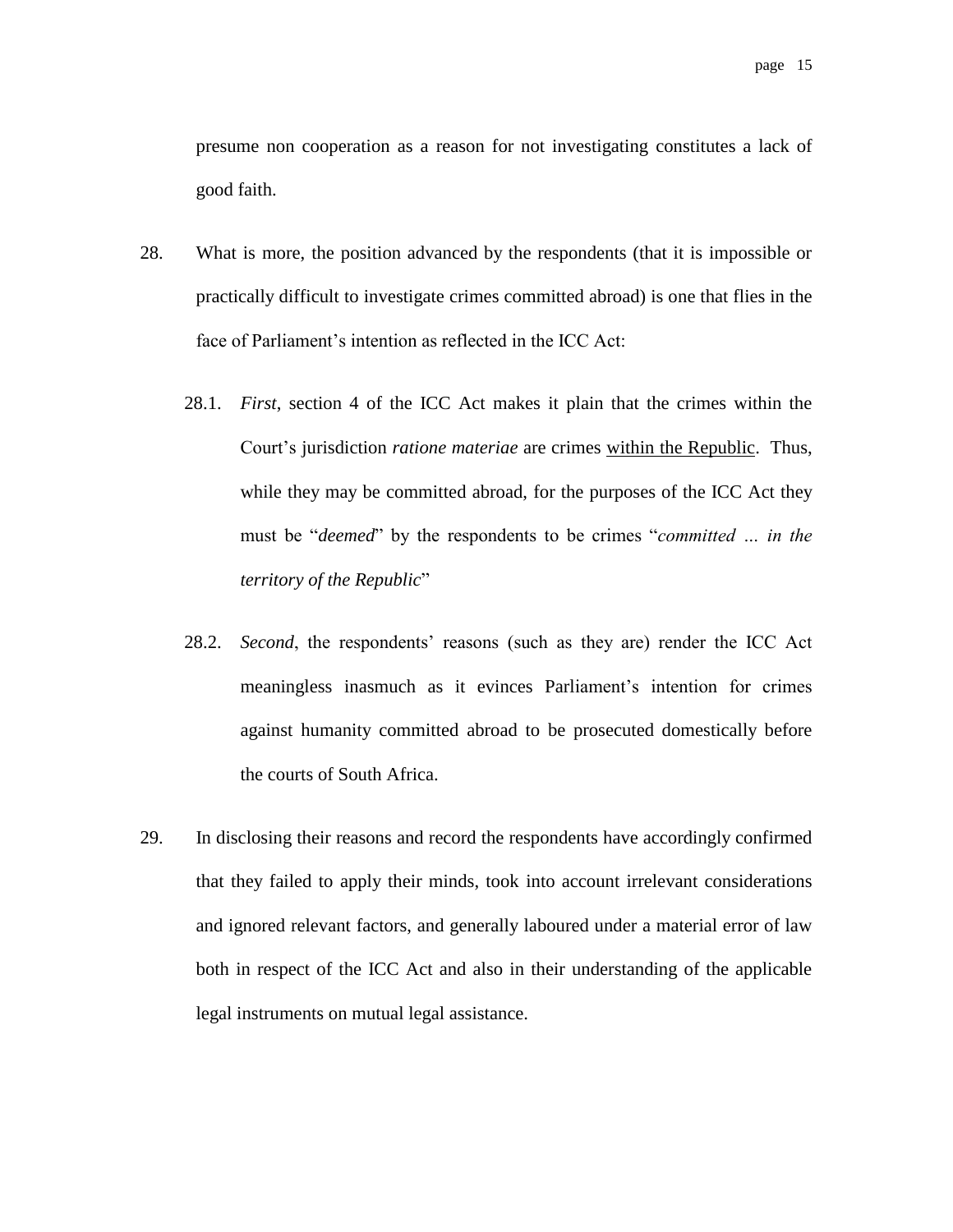presume non cooperation as a reason for not investigating constitutes a lack of good faith.

- 28. What is more, the position advanced by the respondents (that it is impossible or practically difficult to investigate crimes committed abroad) is one that flies in the face of Parliament's intention as reflected in the ICC Act:
	- 28.1. *First*, section 4 of the ICC Act makes it plain that the crimes within the Court's jurisdiction *ratione materiae* are crimes within the Republic. Thus, while they may be committed abroad, for the purposes of the ICC Act they must be "*deemed*" by the respondents to be crimes "*committed … in the territory of the Republic*"
	- 28.2. *Second*, the respondents' reasons (such as they are) render the ICC Act meaningless inasmuch as it evinces Parliament's intention for crimes against humanity committed abroad to be prosecuted domestically before the courts of South Africa.
- 29. In disclosing their reasons and record the respondents have accordingly confirmed that they failed to apply their minds, took into account irrelevant considerations and ignored relevant factors, and generally laboured under a material error of law both in respect of the ICC Act and also in their understanding of the applicable legal instruments on mutual legal assistance.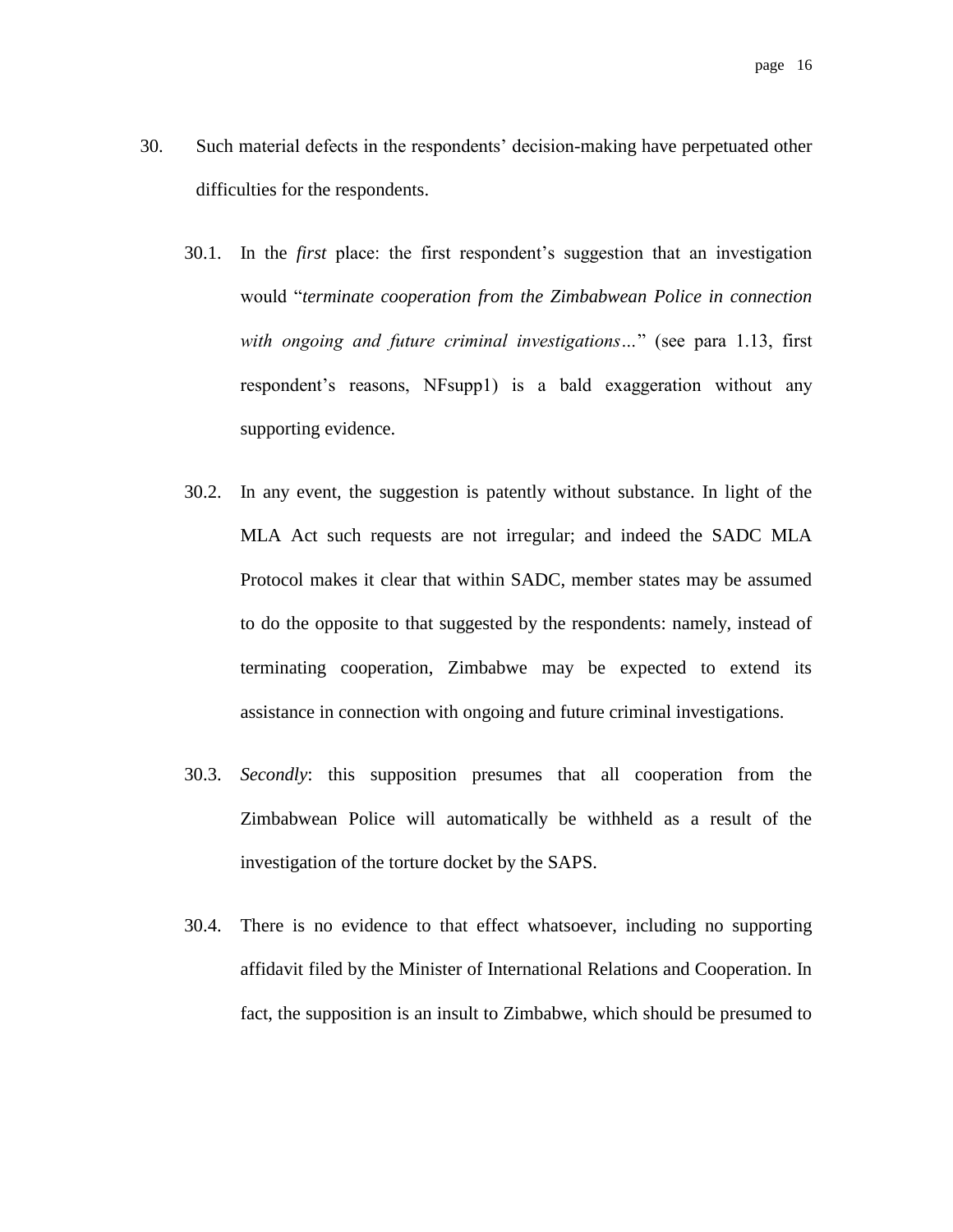- 30. Such material defects in the respondents' decision-making have perpetuated other difficulties for the respondents.
	- 30.1. In the *first* place: the first respondent's suggestion that an investigation would "*terminate cooperation from the Zimbabwean Police in connection with ongoing and future criminal investigations…*" (see para 1.13, first respondent's reasons, NFsupp1) is a bald exaggeration without any supporting evidence.
	- 30.2. In any event, the suggestion is patently without substance. In light of the MLA Act such requests are not irregular; and indeed the SADC MLA Protocol makes it clear that within SADC, member states may be assumed to do the opposite to that suggested by the respondents: namely, instead of terminating cooperation, Zimbabwe may be expected to extend its assistance in connection with ongoing and future criminal investigations.
	- 30.3. *Secondly*: this supposition presumes that all cooperation from the Zimbabwean Police will automatically be withheld as a result of the investigation of the torture docket by the SAPS.
	- 30.4. There is no evidence to that effect whatsoever, including no supporting affidavit filed by the Minister of International Relations and Cooperation. In fact, the supposition is an insult to Zimbabwe, which should be presumed to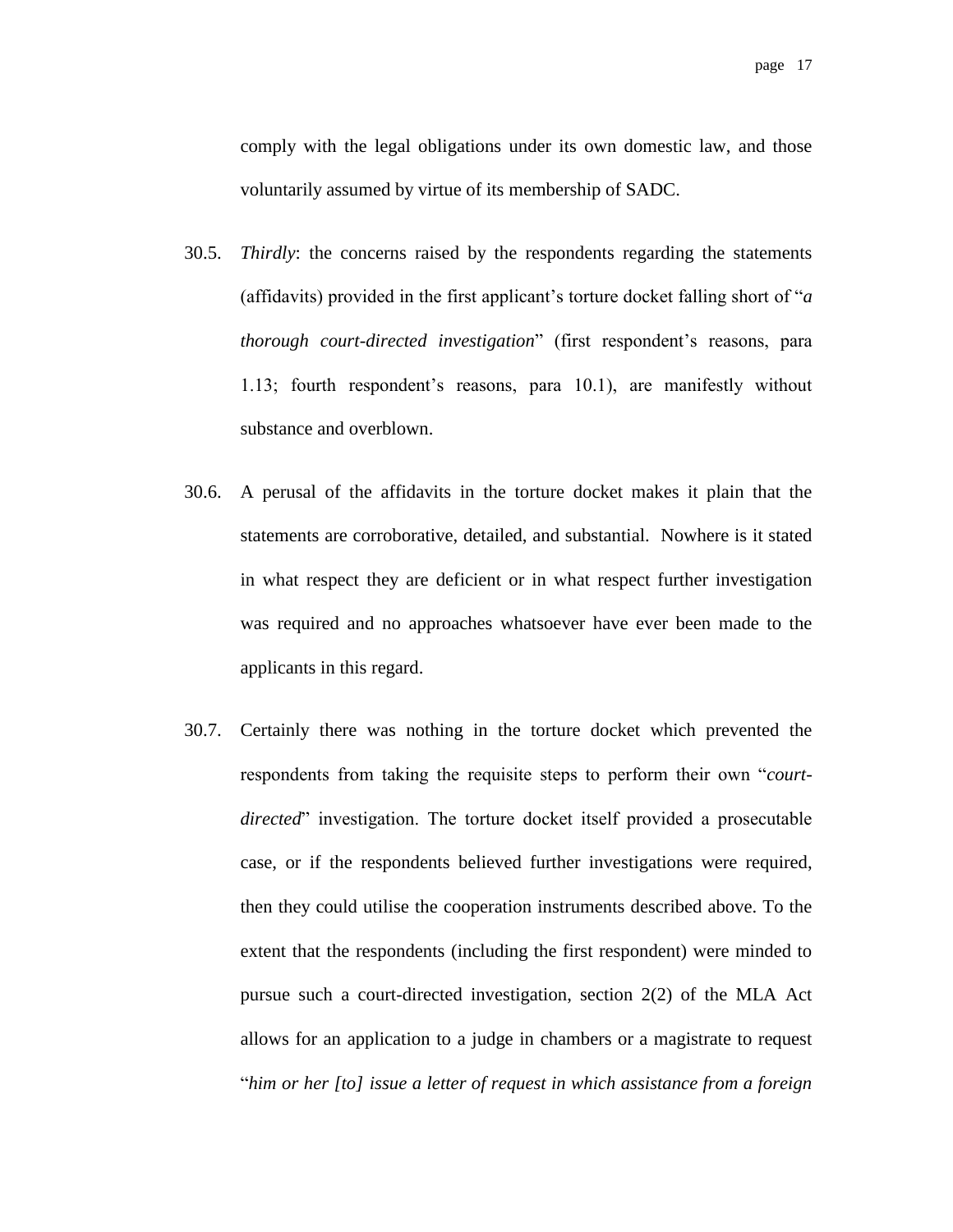comply with the legal obligations under its own domestic law, and those voluntarily assumed by virtue of its membership of SADC.

- 30.5. *Thirdly*: the concerns raised by the respondents regarding the statements (affidavits) provided in the first applicant's torture docket falling short of "*a thorough court-directed investigation*" (first respondent's reasons, para 1.13; fourth respondent's reasons, para 10.1), are manifestly without substance and overblown.
- 30.6. A perusal of the affidavits in the torture docket makes it plain that the statements are corroborative, detailed, and substantial. Nowhere is it stated in what respect they are deficient or in what respect further investigation was required and no approaches whatsoever have ever been made to the applicants in this regard.
- 30.7. Certainly there was nothing in the torture docket which prevented the respondents from taking the requisite steps to perform their own "*courtdirected*" investigation. The torture docket itself provided a prosecutable case, or if the respondents believed further investigations were required, then they could utilise the cooperation instruments described above. To the extent that the respondents (including the first respondent) were minded to pursue such a court-directed investigation, section 2(2) of the MLA Act allows for an application to a judge in chambers or a magistrate to request "*him or her [to] issue a letter of request in which assistance from a foreign*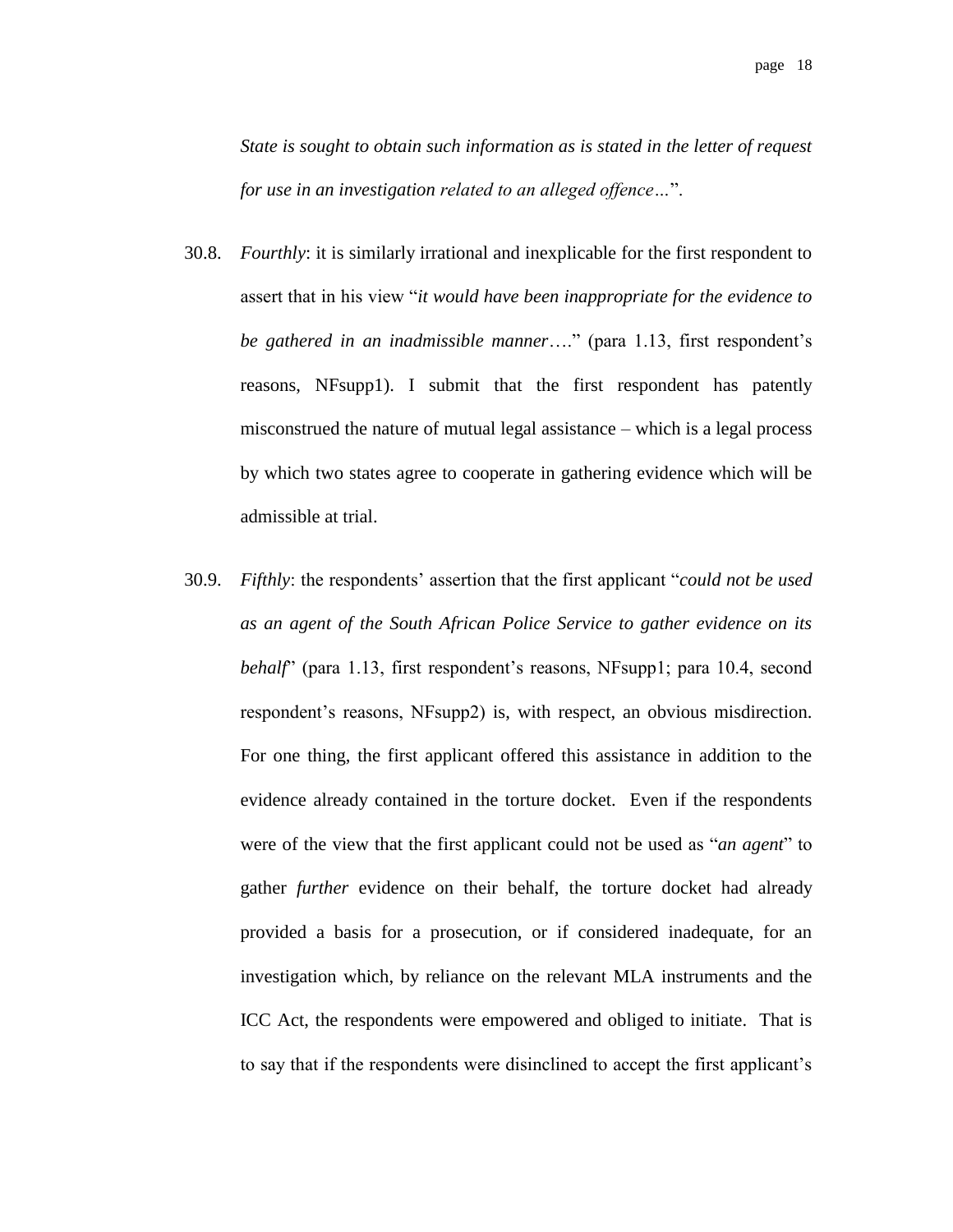*State is sought to obtain such information as is stated in the letter of request for use in an investigation related to an alleged offence…*".

- 30.8. *Fourthly*: it is similarly irrational and inexplicable for the first respondent to assert that in his view "*it would have been inappropriate for the evidence to be gathered in an inadmissible manner*…." (para 1.13, first respondent's reasons, NFsupp1). I submit that the first respondent has patently misconstrued the nature of mutual legal assistance – which is a legal process by which two states agree to cooperate in gathering evidence which will be admissible at trial.
- 30.9. *Fifthly*: the respondents' assertion that the first applicant "*could not be used as an agent of the South African Police Service to gather evidence on its behalf*" (para 1.13, first respondent's reasons, NFsupp1; para 10.4, second respondent's reasons, NFsupp2) is, with respect, an obvious misdirection. For one thing, the first applicant offered this assistance in addition to the evidence already contained in the torture docket. Even if the respondents were of the view that the first applicant could not be used as "*an agent*" to gather *further* evidence on their behalf, the torture docket had already provided a basis for a prosecution, or if considered inadequate, for an investigation which, by reliance on the relevant MLA instruments and the ICC Act, the respondents were empowered and obliged to initiate. That is to say that if the respondents were disinclined to accept the first applicant's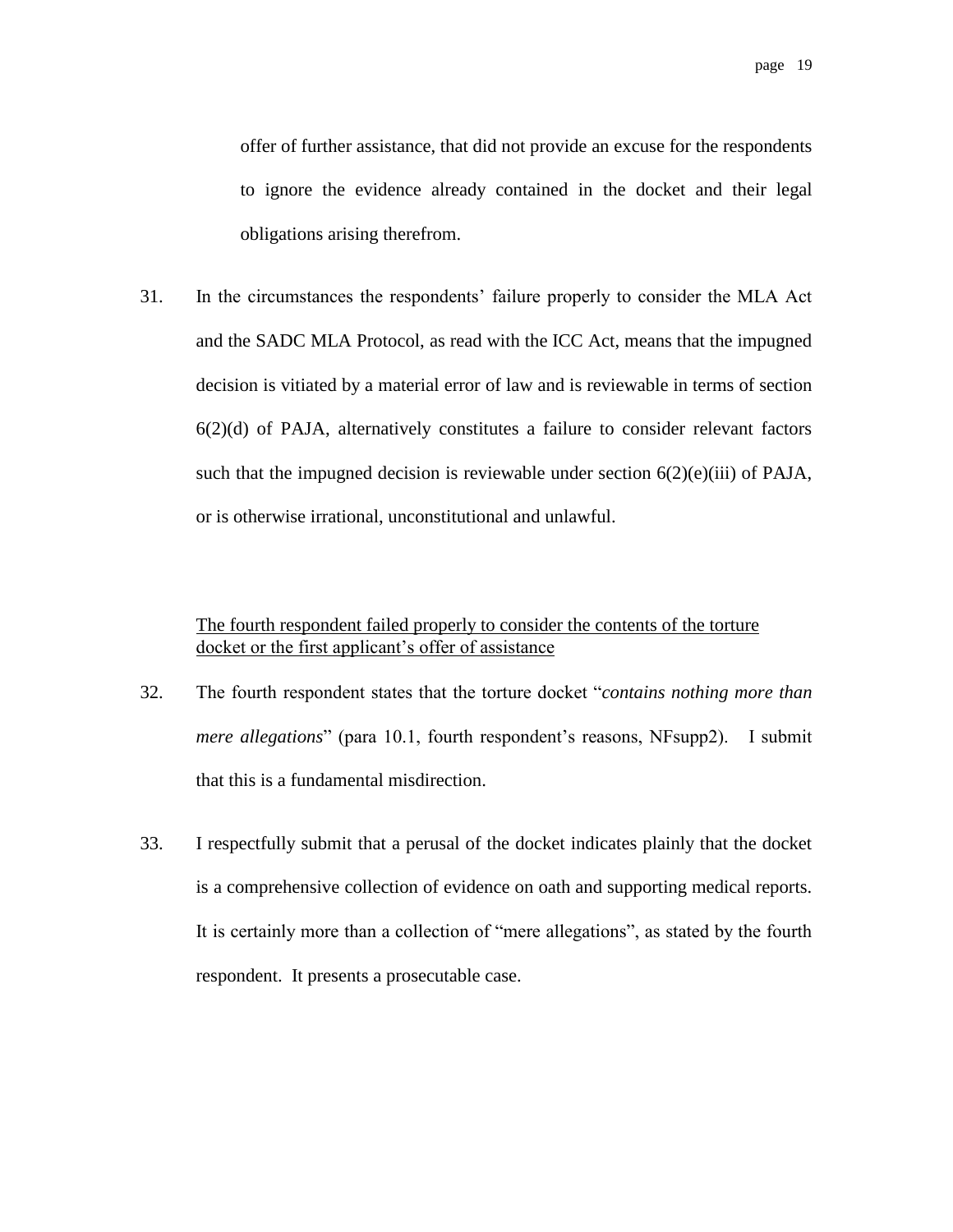offer of further assistance, that did not provide an excuse for the respondents to ignore the evidence already contained in the docket and their legal obligations arising therefrom.

31. In the circumstances the respondents' failure properly to consider the MLA Act and the SADC MLA Protocol, as read with the ICC Act, means that the impugned decision is vitiated by a material error of law and is reviewable in terms of section  $6(2)(d)$  of PAJA, alternatively constitutes a failure to consider relevant factors such that the impugned decision is reviewable under section  $6(2)(e)(iii)$  of PAJA, or is otherwise irrational, unconstitutional and unlawful.

#### The fourth respondent failed properly to consider the contents of the torture docket or the first applicant's offer of assistance

- 32. The fourth respondent states that the torture docket "*contains nothing more than mere allegations*" (para 10.1, fourth respondent's reasons, NFsupp2). I submit that this is a fundamental misdirection.
- 33. I respectfully submit that a perusal of the docket indicates plainly that the docket is a comprehensive collection of evidence on oath and supporting medical reports. It is certainly more than a collection of "mere allegations", as stated by the fourth respondent. It presents a prosecutable case.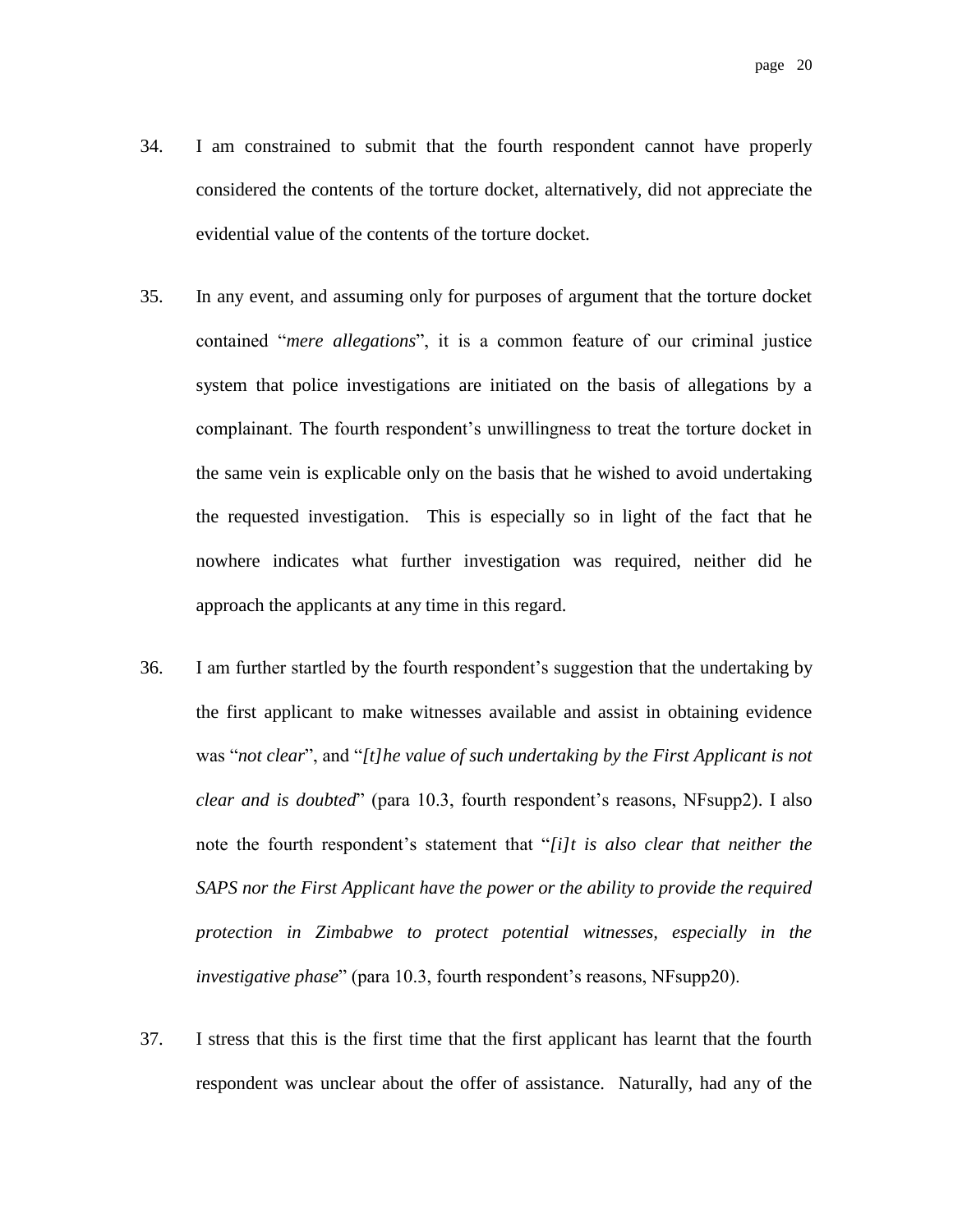- 34. I am constrained to submit that the fourth respondent cannot have properly considered the contents of the torture docket, alternatively, did not appreciate the evidential value of the contents of the torture docket.
- 35. In any event, and assuming only for purposes of argument that the torture docket contained "*mere allegations*", it is a common feature of our criminal justice system that police investigations are initiated on the basis of allegations by a complainant. The fourth respondent's unwillingness to treat the torture docket in the same vein is explicable only on the basis that he wished to avoid undertaking the requested investigation. This is especially so in light of the fact that he nowhere indicates what further investigation was required, neither did he approach the applicants at any time in this regard.
- 36. I am further startled by the fourth respondent's suggestion that the undertaking by the first applicant to make witnesses available and assist in obtaining evidence was "*not clear*", and "*[t]he value of such undertaking by the First Applicant is not clear and is doubted*" (para 10.3, fourth respondent's reasons, NFsupp2). I also note the fourth respondent's statement that "*[i]t is also clear that neither the SAPS nor the First Applicant have the power or the ability to provide the required protection in Zimbabwe to protect potential witnesses, especially in the investigative phase*" (para 10.3, fourth respondent's reasons, NFsupp20).
- 37. I stress that this is the first time that the first applicant has learnt that the fourth respondent was unclear about the offer of assistance. Naturally, had any of the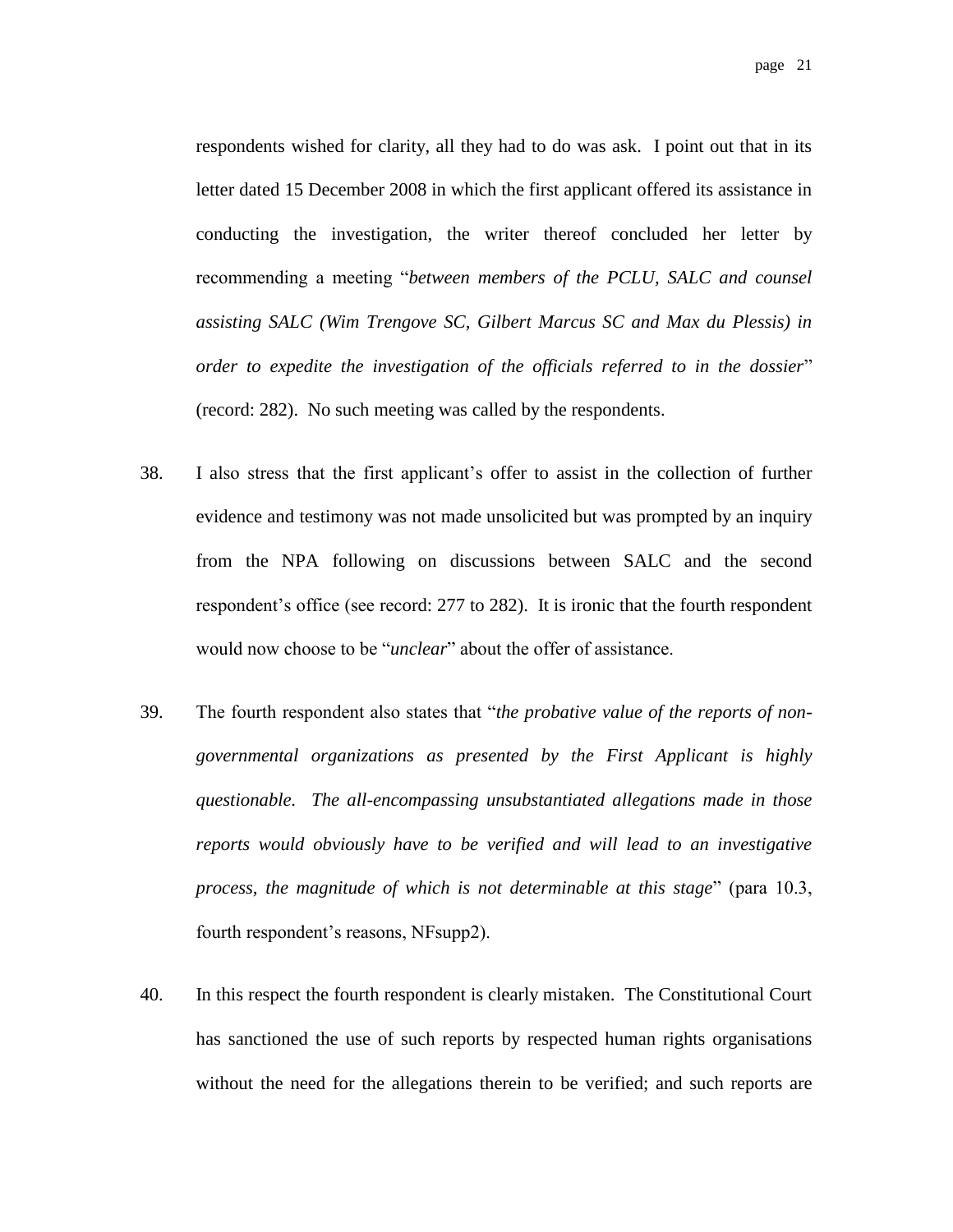page 21

respondents wished for clarity, all they had to do was ask. I point out that in its letter dated 15 December 2008 in which the first applicant offered its assistance in conducting the investigation, the writer thereof concluded her letter by recommending a meeting "*between members of the PCLU, SALC and counsel assisting SALC (Wim Trengove SC, Gilbert Marcus SC and Max du Plessis) in order to expedite the investigation of the officials referred to in the dossier*" (record: 282). No such meeting was called by the respondents.

- 38. I also stress that the first applicant's offer to assist in the collection of further evidence and testimony was not made unsolicited but was prompted by an inquiry from the NPA following on discussions between SALC and the second respondent's office (see record: 277 to 282). It is ironic that the fourth respondent would now choose to be "*unclear*" about the offer of assistance.
- 39. The fourth respondent also states that "*the probative value of the reports of nongovernmental organizations as presented by the First Applicant is highly questionable. The all-encompassing unsubstantiated allegations made in those reports would obviously have to be verified and will lead to an investigative process, the magnitude of which is not determinable at this stage*" (para 10.3, fourth respondent's reasons, NFsupp2).
- 40. In this respect the fourth respondent is clearly mistaken. The Constitutional Court has sanctioned the use of such reports by respected human rights organisations without the need for the allegations therein to be verified; and such reports are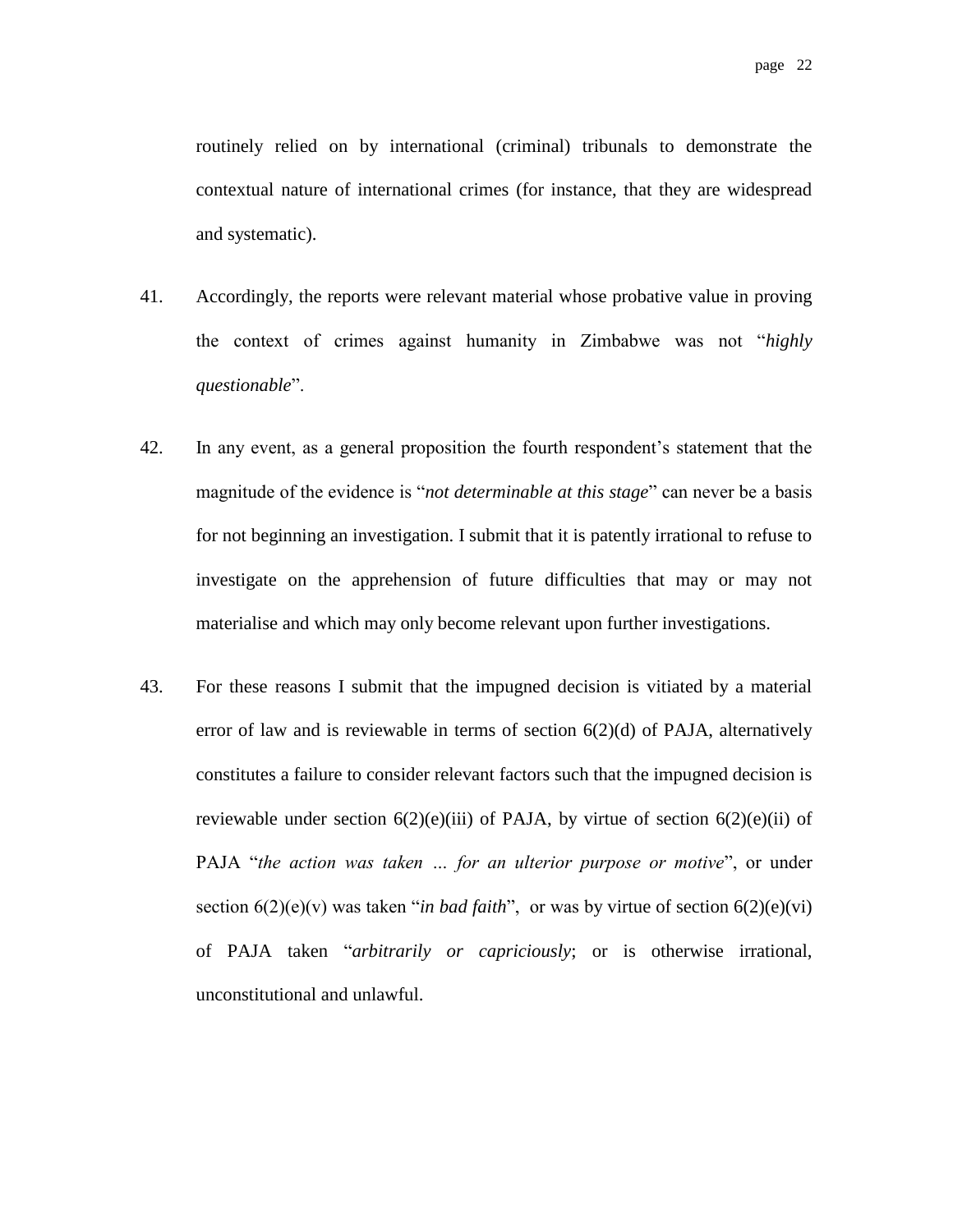routinely relied on by international (criminal) tribunals to demonstrate the contextual nature of international crimes (for instance, that they are widespread and systematic).

- 41. Accordingly, the reports were relevant material whose probative value in proving the context of crimes against humanity in Zimbabwe was not "*highly questionable*".
- 42. In any event, as a general proposition the fourth respondent's statement that the magnitude of the evidence is "*not determinable at this stage*" can never be a basis for not beginning an investigation. I submit that it is patently irrational to refuse to investigate on the apprehension of future difficulties that may or may not materialise and which may only become relevant upon further investigations.
- 43. For these reasons I submit that the impugned decision is vitiated by a material error of law and is reviewable in terms of section 6(2)(d) of PAJA, alternatively constitutes a failure to consider relevant factors such that the impugned decision is reviewable under section  $6(2)(e)(iii)$  of PAJA, by virtue of section  $6(2)(e)(ii)$  of PAJA "*the action was taken … for an ulterior purpose or motive*", or under section  $6(2)(e)(v)$  was taken "*in bad faith*", or was by virtue of section  $6(2)(e)(vi)$ of PAJA taken "*arbitrarily or capriciously*; or is otherwise irrational, unconstitutional and unlawful.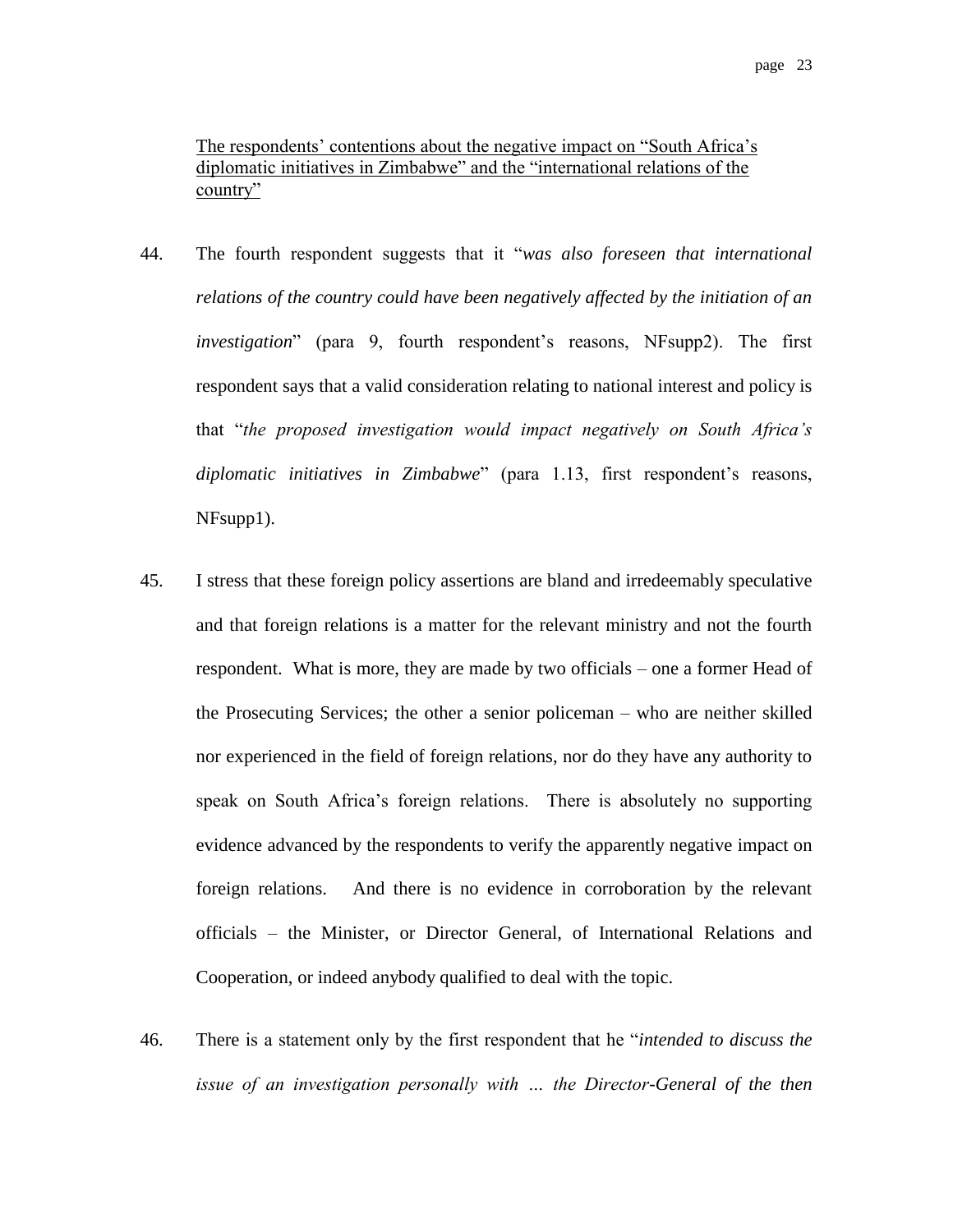The respondents' contentions about the negative impact on "South Africa's diplomatic initiatives in Zimbabwe" and the "international relations of the country"

- 44. The fourth respondent suggests that it "*was also foreseen that international relations of the country could have been negatively affected by the initiation of an investigation*" (para 9, fourth respondent's reasons, NFsupp2). The first respondent says that a valid consideration relating to national interest and policy is that "*the proposed investigation would impact negatively on South Africa's diplomatic initiatives in Zimbabwe*" (para 1.13, first respondent's reasons, NFsupp1).
- 45. I stress that these foreign policy assertions are bland and irredeemably speculative and that foreign relations is a matter for the relevant ministry and not the fourth respondent. What is more, they are made by two officials – one a former Head of the Prosecuting Services; the other a senior policeman – who are neither skilled nor experienced in the field of foreign relations, nor do they have any authority to speak on South Africa's foreign relations. There is absolutely no supporting evidence advanced by the respondents to verify the apparently negative impact on foreign relations. And there is no evidence in corroboration by the relevant officials – the Minister, or Director General, of International Relations and Cooperation, or indeed anybody qualified to deal with the topic.
- 46. There is a statement only by the first respondent that he "*intended to discuss the issue of an investigation personally with … the Director-General of the then*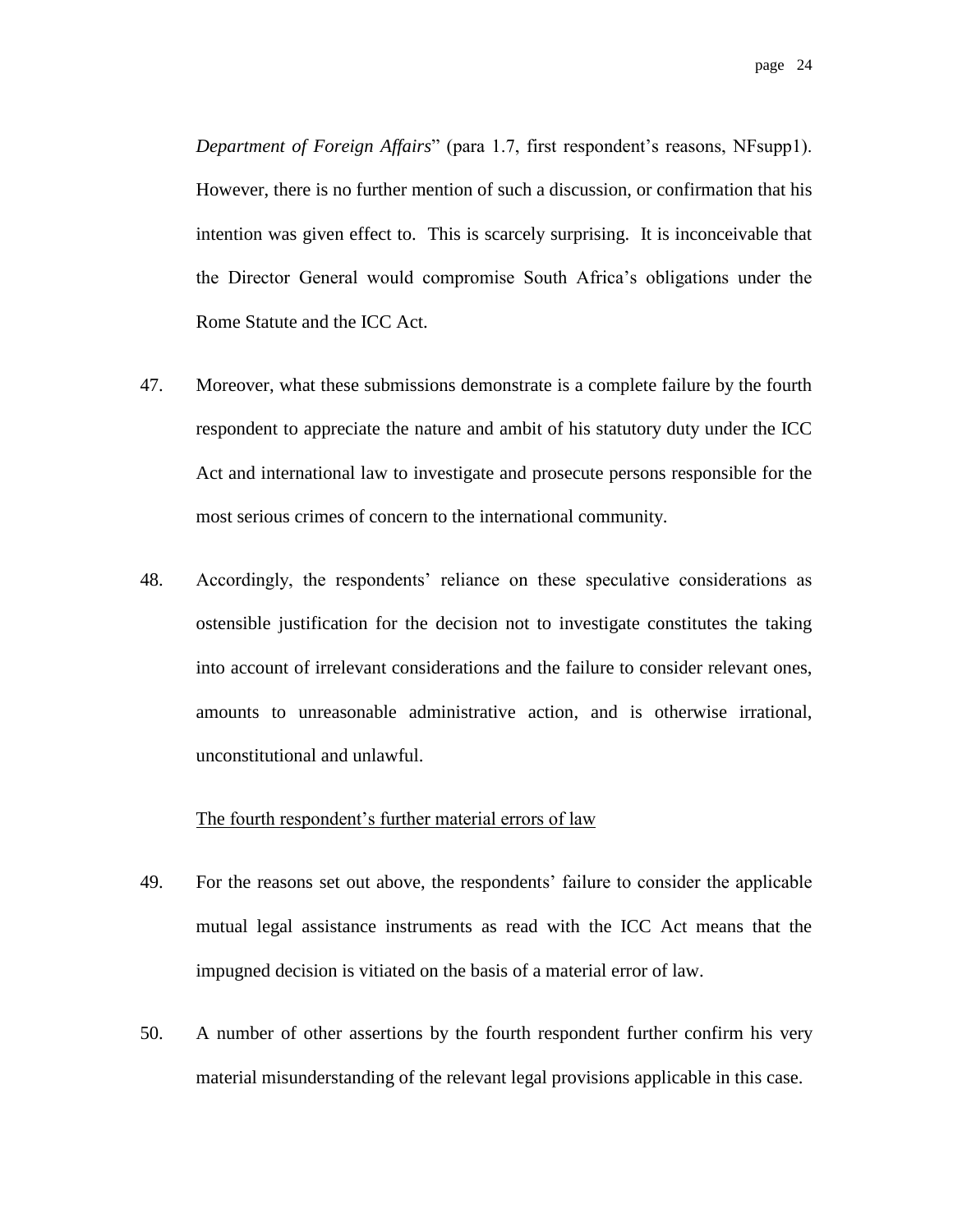*Department of Foreign Affairs*" (para 1.7, first respondent's reasons, NFsupp1). However, there is no further mention of such a discussion, or confirmation that his intention was given effect to. This is scarcely surprising. It is inconceivable that the Director General would compromise South Africa's obligations under the Rome Statute and the ICC Act.

- 47. Moreover, what these submissions demonstrate is a complete failure by the fourth respondent to appreciate the nature and ambit of his statutory duty under the ICC Act and international law to investigate and prosecute persons responsible for the most serious crimes of concern to the international community.
- 48. Accordingly, the respondents' reliance on these speculative considerations as ostensible justification for the decision not to investigate constitutes the taking into account of irrelevant considerations and the failure to consider relevant ones, amounts to unreasonable administrative action, and is otherwise irrational, unconstitutional and unlawful.

#### The fourth respondent's further material errors of law

- 49. For the reasons set out above, the respondents' failure to consider the applicable mutual legal assistance instruments as read with the ICC Act means that the impugned decision is vitiated on the basis of a material error of law.
- 50. A number of other assertions by the fourth respondent further confirm his very material misunderstanding of the relevant legal provisions applicable in this case.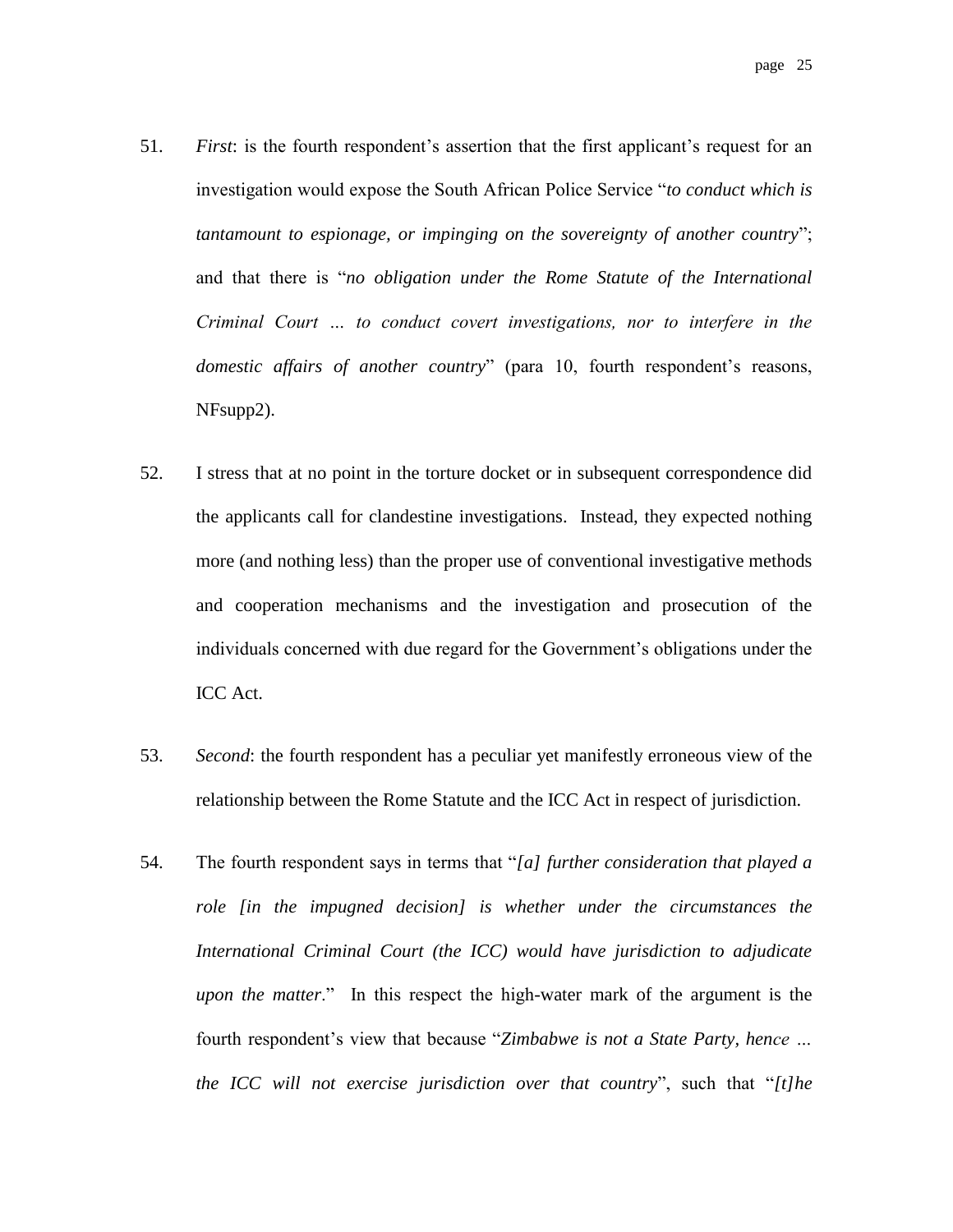- 51. *First*: is the fourth respondent's assertion that the first applicant's request for an investigation would expose the South African Police Service "*to conduct which is tantamount to espionage, or impinging on the sovereignty of another country*"; and that there is "*no obligation under the Rome Statute of the International Criminal Court … to conduct covert investigations, nor to interfere in the domestic affairs of another country*" (para 10, fourth respondent's reasons, NFsupp2).
- 52. I stress that at no point in the torture docket or in subsequent correspondence did the applicants call for clandestine investigations. Instead, they expected nothing more (and nothing less) than the proper use of conventional investigative methods and cooperation mechanisms and the investigation and prosecution of the individuals concerned with due regard for the Government's obligations under the ICC Act.
- 53. *Second*: the fourth respondent has a peculiar yet manifestly erroneous view of the relationship between the Rome Statute and the ICC Act in respect of jurisdiction.
- 54. The fourth respondent says in terms that "*[a] further consideration that played a role [in the impugned decision] is whether under the circumstances the International Criminal Court (the ICC) would have jurisdiction to adjudicate upon the matter*." In this respect the high-water mark of the argument is the fourth respondent's view that because "*Zimbabwe is not a State Party, hence … the ICC will not exercise jurisdiction over that country*", such that "*[t]he*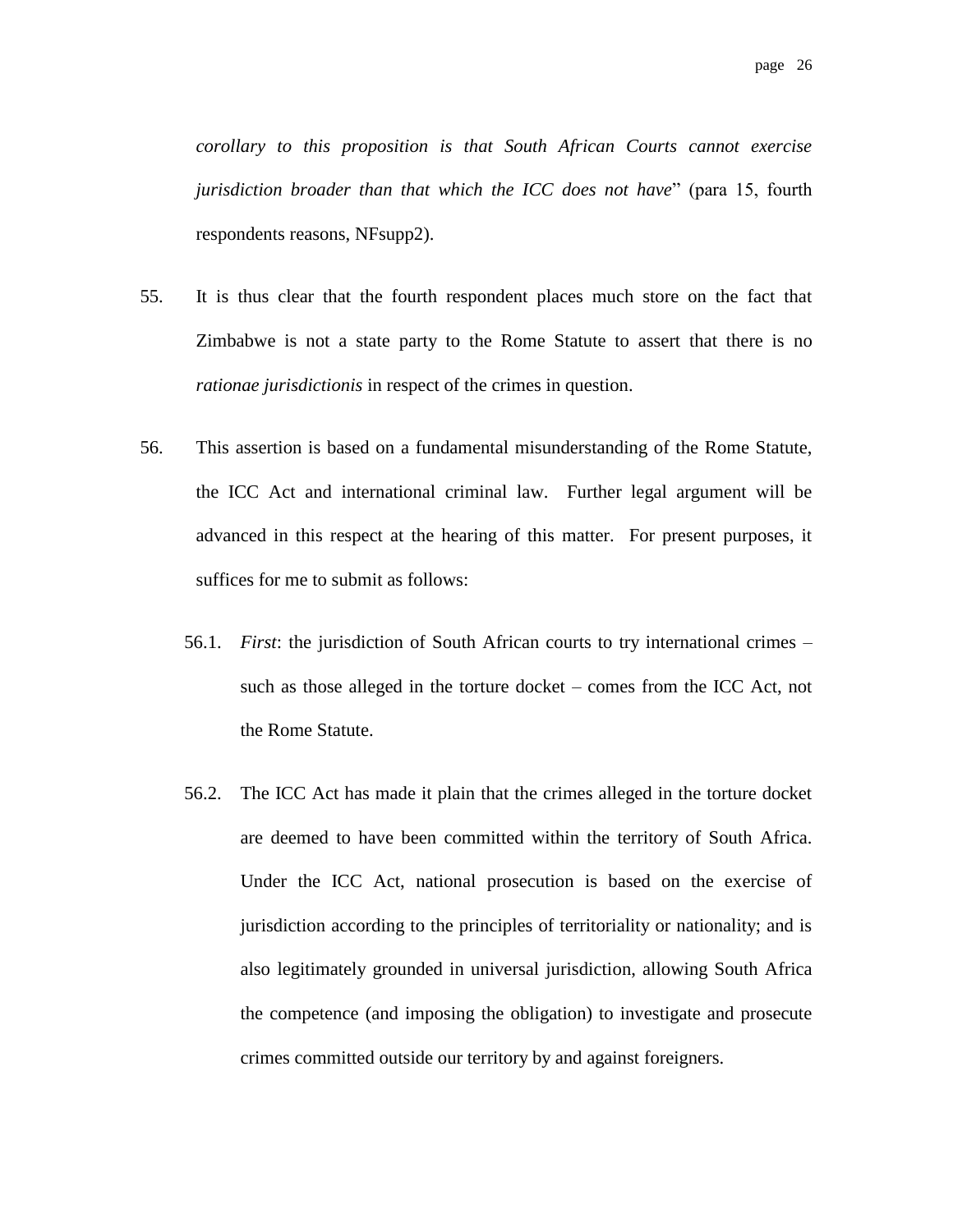*corollary to this proposition is that South African Courts cannot exercise jurisdiction broader than that which the ICC does not have*" (para 15, fourth respondents reasons, NFsupp2).

- 55. It is thus clear that the fourth respondent places much store on the fact that Zimbabwe is not a state party to the Rome Statute to assert that there is no *rationae jurisdictionis* in respect of the crimes in question.
- 56. This assertion is based on a fundamental misunderstanding of the Rome Statute, the ICC Act and international criminal law. Further legal argument will be advanced in this respect at the hearing of this matter. For present purposes, it suffices for me to submit as follows:
	- 56.1. *First*: the jurisdiction of South African courts to try international crimes such as those alleged in the torture docket – comes from the ICC Act, not the Rome Statute.
	- 56.2. The ICC Act has made it plain that the crimes alleged in the torture docket are deemed to have been committed within the territory of South Africa. Under the ICC Act, national prosecution is based on the exercise of jurisdiction according to the principles of territoriality or nationality; and is also legitimately grounded in universal jurisdiction, allowing South Africa the competence (and imposing the obligation) to investigate and prosecute crimes committed outside our territory by and against foreigners.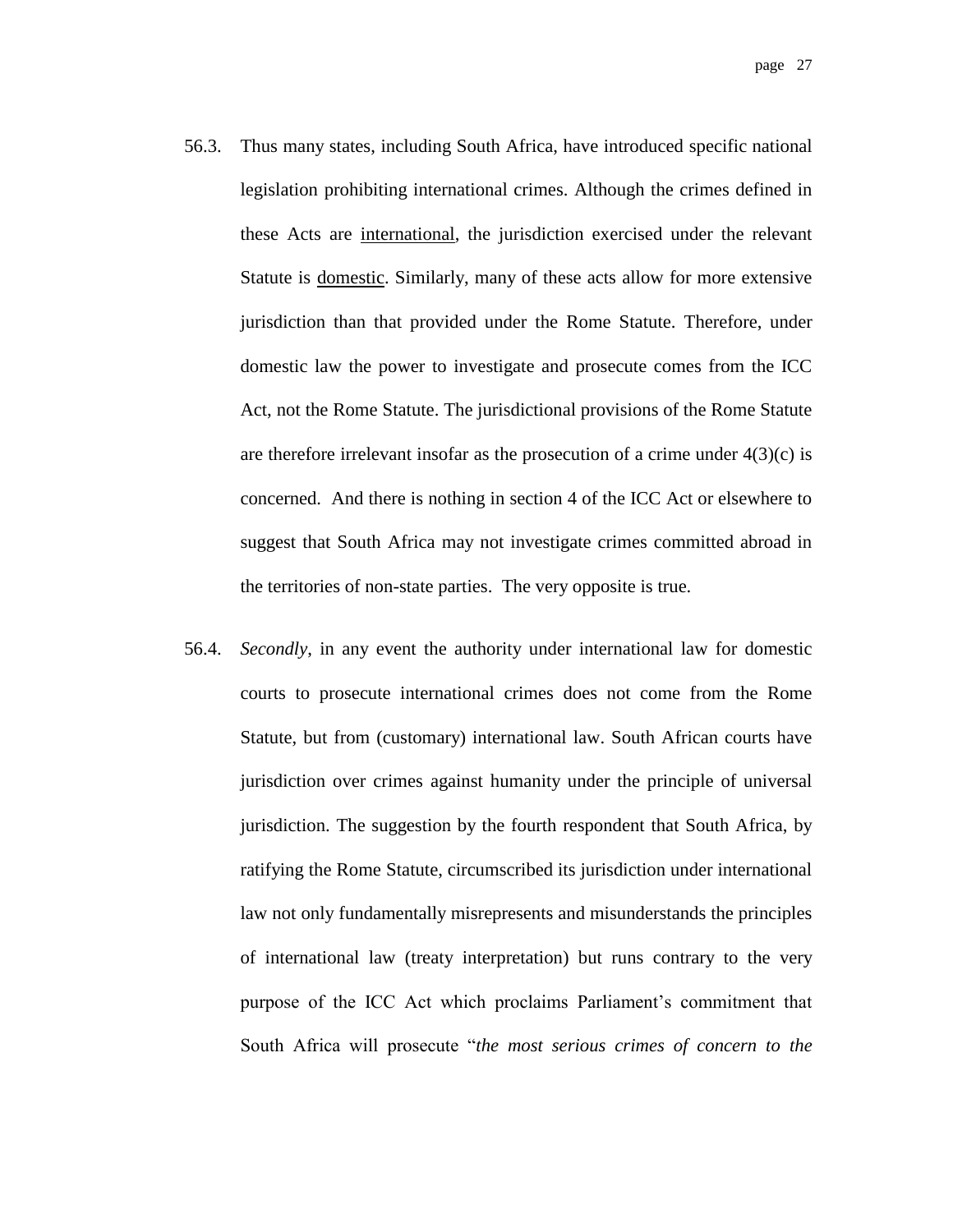- 56.3. Thus many states, including South Africa, have introduced specific national legislation prohibiting international crimes. Although the crimes defined in these Acts are international, the jurisdiction exercised under the relevant Statute is domestic. Similarly, many of these acts allow for more extensive jurisdiction than that provided under the Rome Statute. Therefore, under domestic law the power to investigate and prosecute comes from the ICC Act, not the Rome Statute. The jurisdictional provisions of the Rome Statute are therefore irrelevant insofar as the prosecution of a crime under  $4(3)(c)$  is concerned. And there is nothing in section 4 of the ICC Act or elsewhere to suggest that South Africa may not investigate crimes committed abroad in the territories of non-state parties. The very opposite is true.
- 56.4. *Secondly*, in any event the authority under international law for domestic courts to prosecute international crimes does not come from the Rome Statute, but from (customary) international law. South African courts have jurisdiction over crimes against humanity under the principle of universal jurisdiction. The suggestion by the fourth respondent that South Africa, by ratifying the Rome Statute, circumscribed its jurisdiction under international law not only fundamentally misrepresents and misunderstands the principles of international law (treaty interpretation) but runs contrary to the very purpose of the ICC Act which proclaims Parliament's commitment that South Africa will prosecute "*the most serious crimes of concern to the*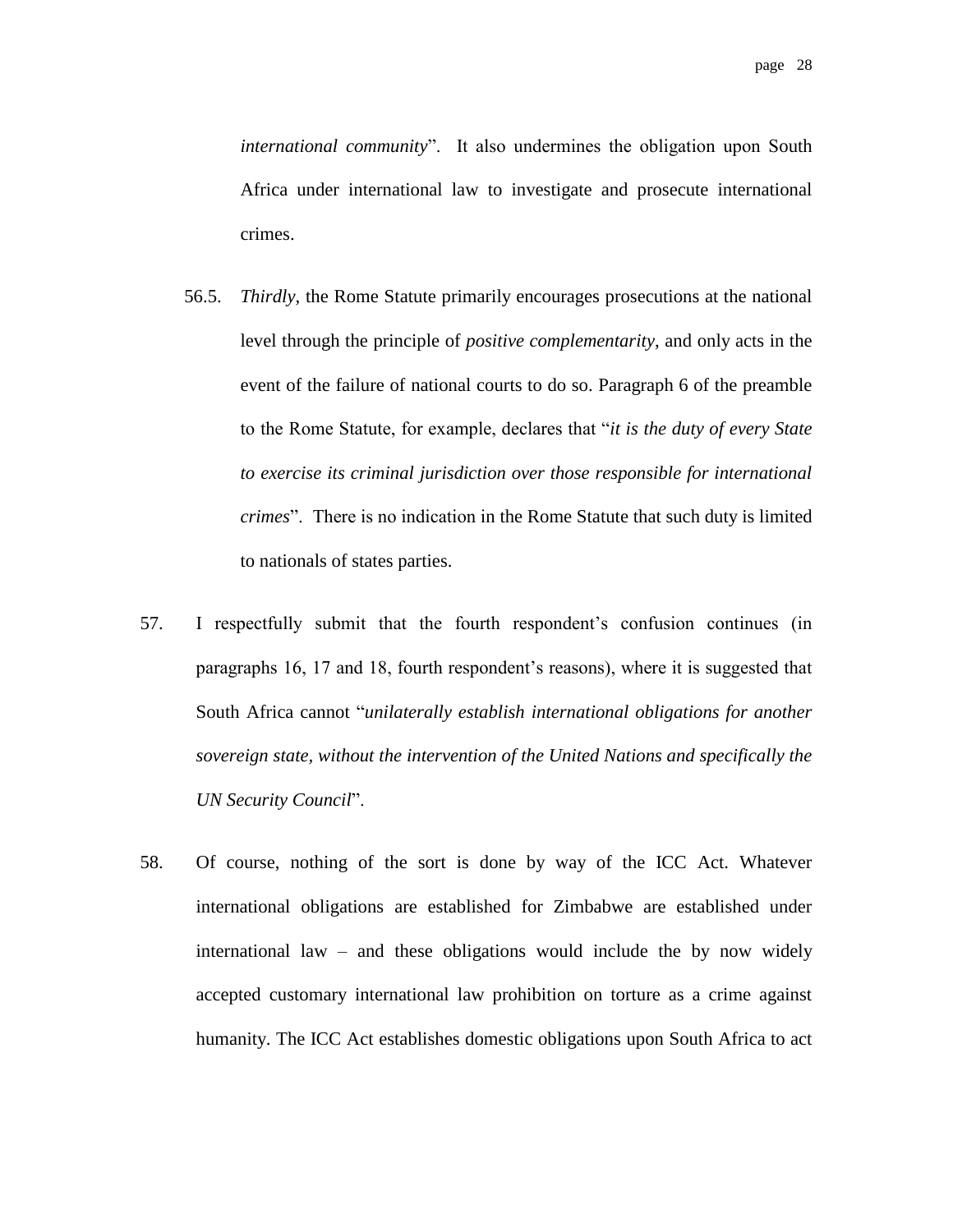*international community*". It also undermines the obligation upon South Africa under international law to investigate and prosecute international crimes.

- 56.5. *Thirdly*, the Rome Statute primarily encourages prosecutions at the national level through the principle of *positive complementarity*, and only acts in the event of the failure of national courts to do so. Paragraph 6 of the preamble to the Rome Statute, for example, declares that "*it is the duty of every State to exercise its criminal jurisdiction over those responsible for international crimes*". There is no indication in the Rome Statute that such duty is limited to nationals of states parties.
- 57. I respectfully submit that the fourth respondent's confusion continues (in paragraphs 16, 17 and 18, fourth respondent's reasons), where it is suggested that South Africa cannot "*unilaterally establish international obligations for another sovereign state, without the intervention of the United Nations and specifically the UN Security Council*".
- 58. Of course, nothing of the sort is done by way of the ICC Act. Whatever international obligations are established for Zimbabwe are established under international law – and these obligations would include the by now widely accepted customary international law prohibition on torture as a crime against humanity. The ICC Act establishes domestic obligations upon South Africa to act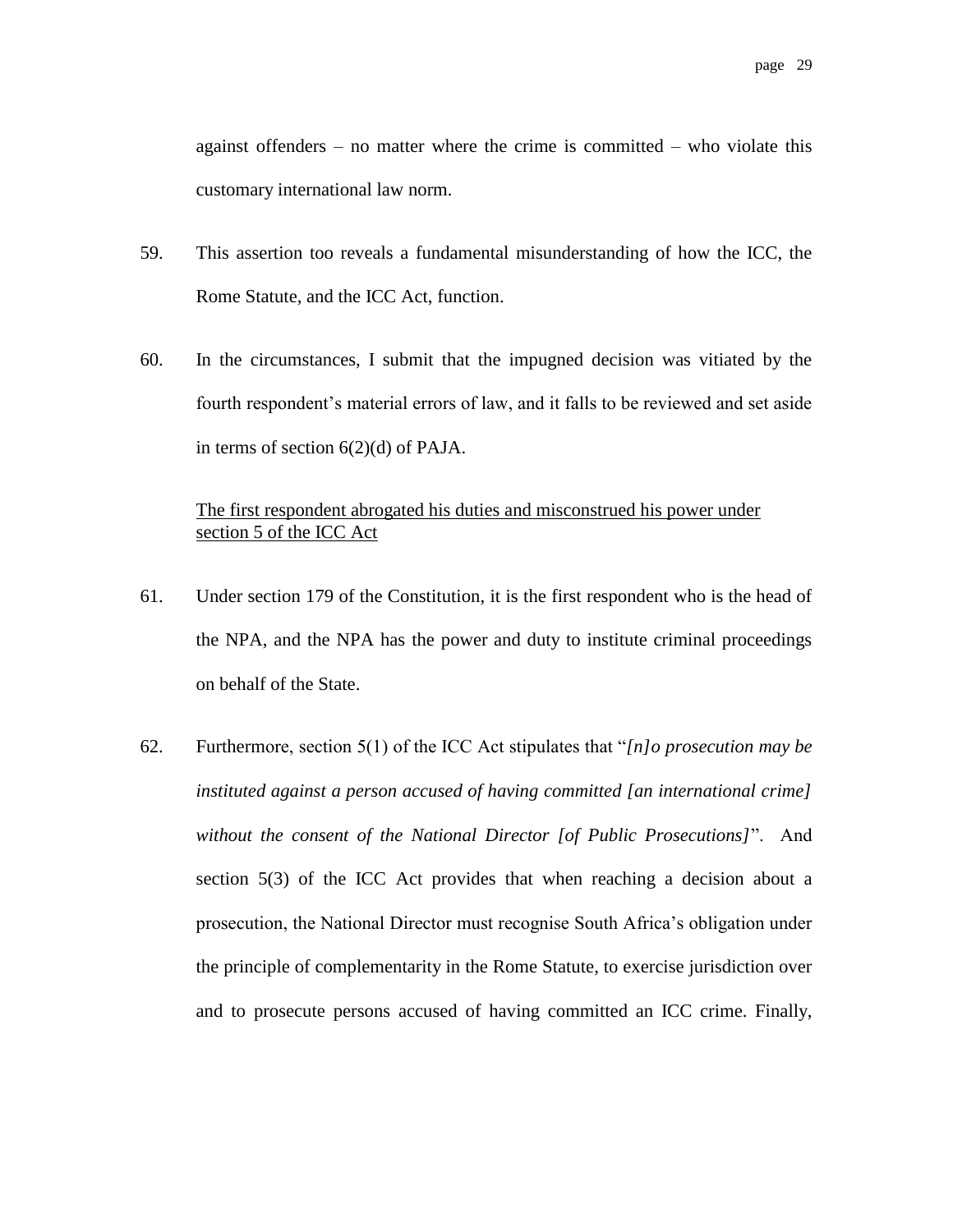against offenders – no matter where the crime is committed – who violate this customary international law norm.

- 59. This assertion too reveals a fundamental misunderstanding of how the ICC, the Rome Statute, and the ICC Act, function.
- 60. In the circumstances, I submit that the impugned decision was vitiated by the fourth respondent's material errors of law, and it falls to be reviewed and set aside in terms of section 6(2)(d) of PAJA.

#### The first respondent abrogated his duties and misconstrued his power under section 5 of the ICC Act

- 61. Under section 179 of the Constitution, it is the first respondent who is the head of the NPA, and the NPA has the power and duty to institute criminal proceedings on behalf of the State.
- 62. Furthermore, section 5(1) of the ICC Act stipulates that "*[n]o prosecution may be instituted against a person accused of having committed [an international crime] without the consent of the National Director [of Public Prosecutions]*". And section 5(3) of the ICC Act provides that when reaching a decision about a prosecution, the National Director must recognise South Africa's obligation under the principle of complementarity in the Rome Statute, to exercise jurisdiction over and to prosecute persons accused of having committed an ICC crime. Finally,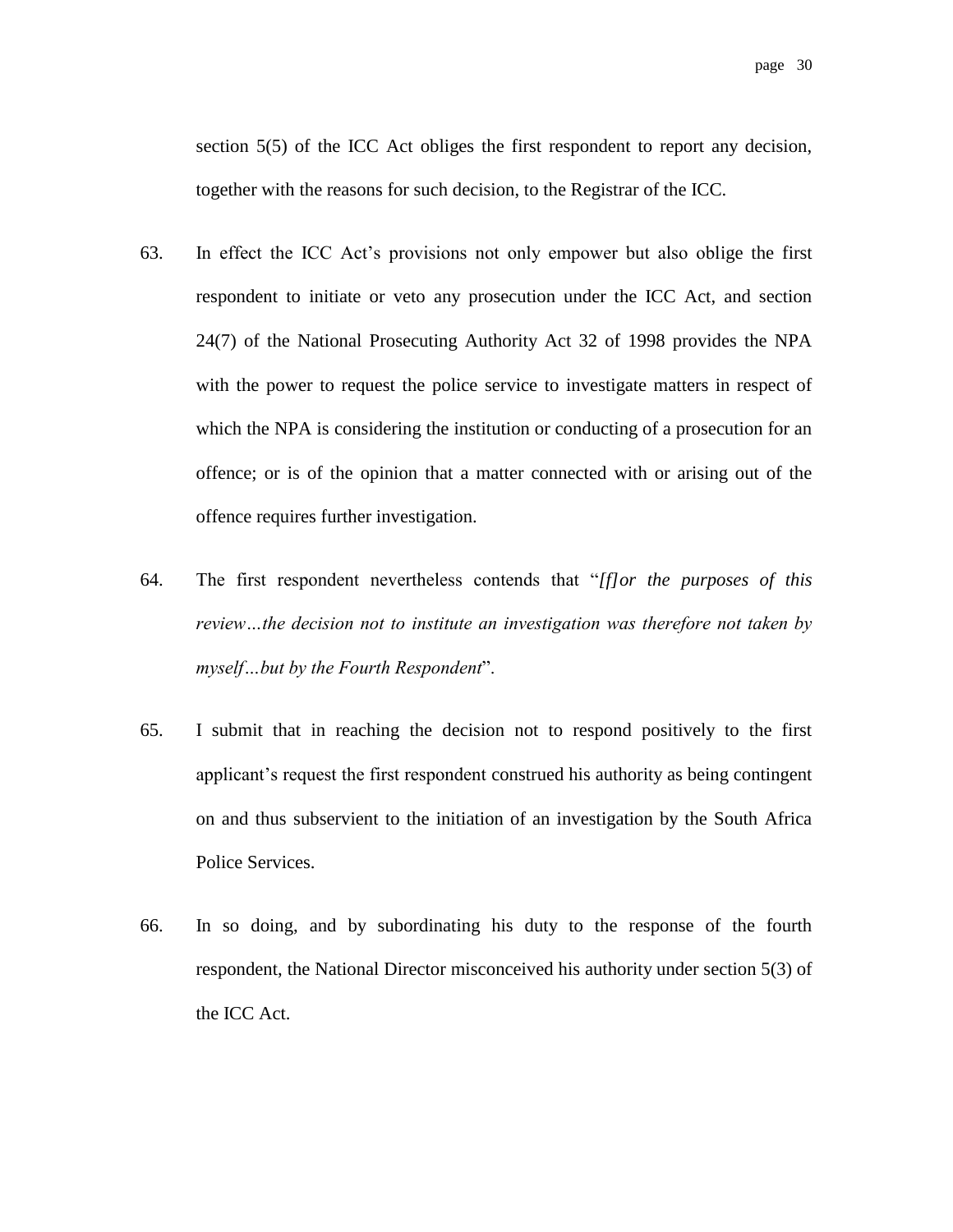section 5(5) of the ICC Act obliges the first respondent to report any decision, together with the reasons for such decision, to the Registrar of the ICC.

- 63. In effect the ICC Act's provisions not only empower but also oblige the first respondent to initiate or veto any prosecution under the ICC Act, and section 24(7) of the National Prosecuting Authority Act 32 of 1998 provides the NPA with the power to request the police service to investigate matters in respect of which the NPA is considering the institution or conducting of a prosecution for an offence; or is of the opinion that a matter connected with or arising out of the offence requires further investigation.
- 64. The first respondent nevertheless contends that "*[f]or the purposes of this review…the decision not to institute an investigation was therefore not taken by myself…but by the Fourth Respondent*".
- 65. I submit that in reaching the decision not to respond positively to the first applicant's request the first respondent construed his authority as being contingent on and thus subservient to the initiation of an investigation by the South Africa Police Services.
- 66. In so doing, and by subordinating his duty to the response of the fourth respondent, the National Director misconceived his authority under section 5(3) of the ICC Act.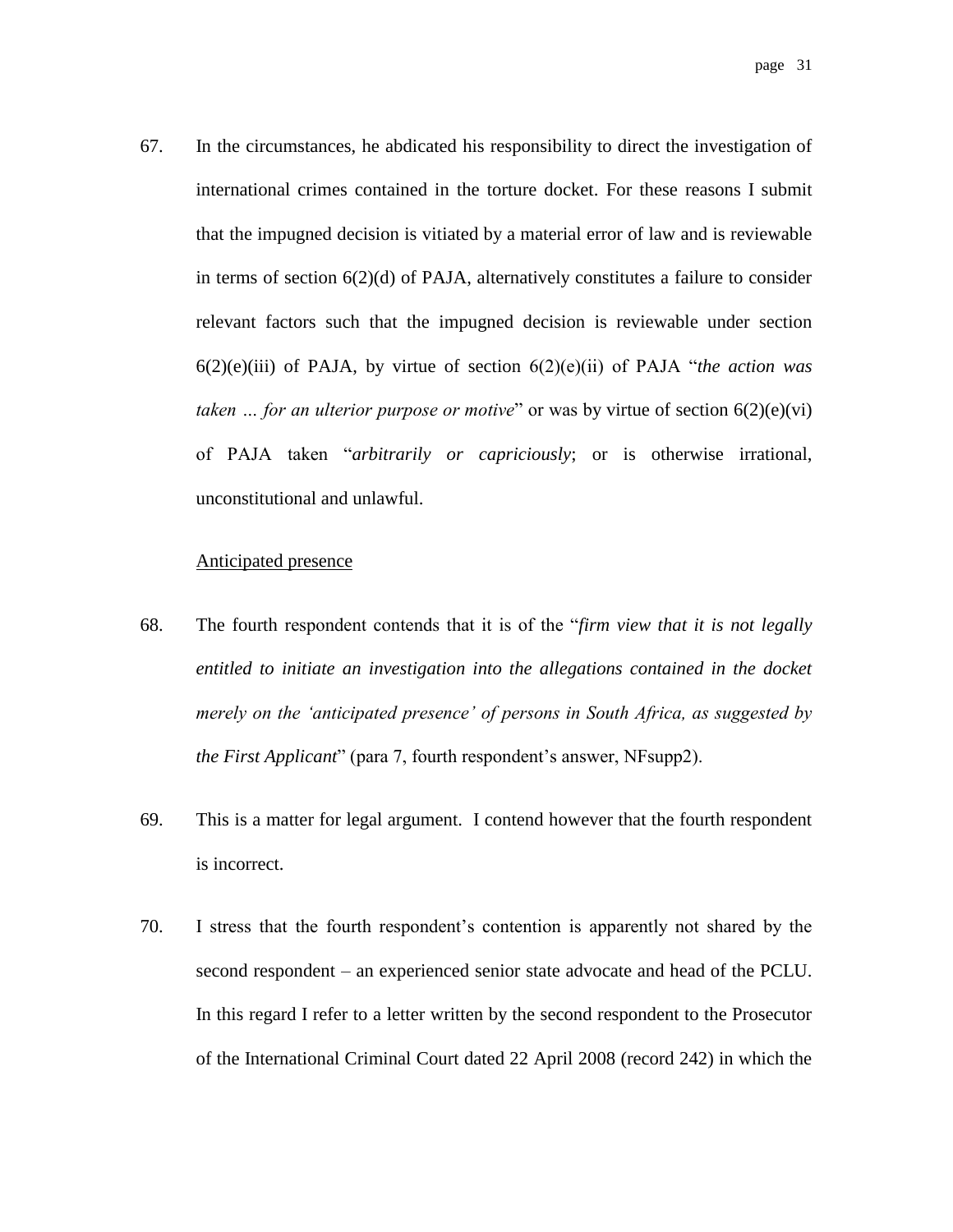67. In the circumstances, he abdicated his responsibility to direct the investigation of international crimes contained in the torture docket. For these reasons I submit that the impugned decision is vitiated by a material error of law and is reviewable in terms of section  $6(2)(d)$  of PAJA, alternatively constitutes a failure to consider relevant factors such that the impugned decision is reviewable under section 6(2)(e)(iii) of PAJA, by virtue of section 6(2)(e)(ii) of PAJA "*the action was taken … for an ulterior purpose or motive*" or was by virtue of section 6(2)(e)(vi) of PAJA taken "*arbitrarily or capriciously*; or is otherwise irrational, unconstitutional and unlawful.

#### Anticipated presence

- 68. The fourth respondent contends that it is of the "*firm view that it is not legally entitled to initiate an investigation into the allegations contained in the docket merely on the 'anticipated presence' of persons in South Africa, as suggested by the First Applicant*" (para 7, fourth respondent's answer, NFsupp2).
- 69. This is a matter for legal argument. I contend however that the fourth respondent is incorrect.
- 70. I stress that the fourth respondent's contention is apparently not shared by the second respondent – an experienced senior state advocate and head of the PCLU. In this regard I refer to a letter written by the second respondent to the Prosecutor of the International Criminal Court dated 22 April 2008 (record 242) in which the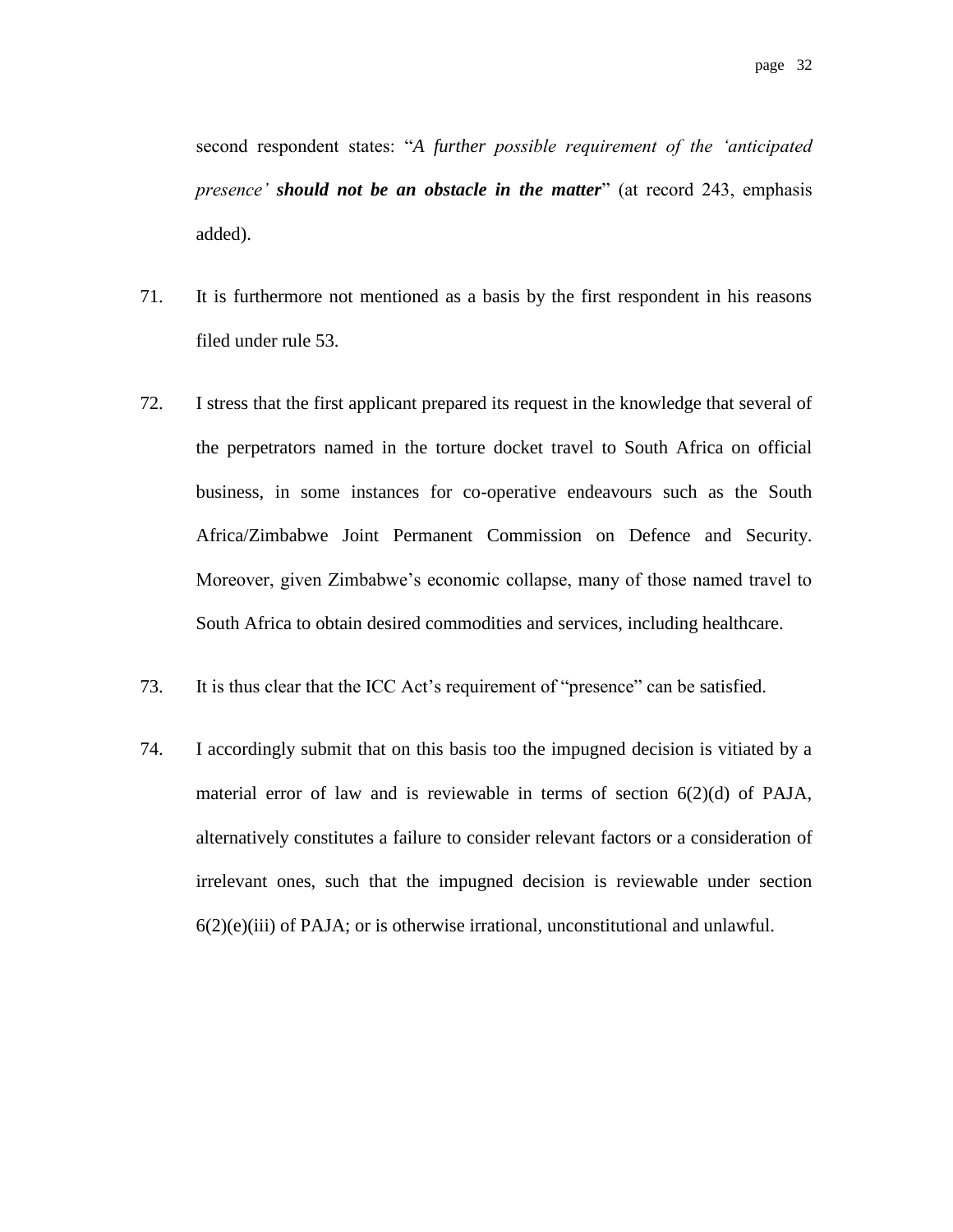second respondent states: "*A further possible requirement of the 'anticipated presence' should not be an obstacle in the matter*" (at record 243, emphasis added).

- 71. It is furthermore not mentioned as a basis by the first respondent in his reasons filed under rule 53.
- 72. I stress that the first applicant prepared its request in the knowledge that several of the perpetrators named in the torture docket travel to South Africa on official business, in some instances for co-operative endeavours such as the South Africa/Zimbabwe Joint Permanent Commission on Defence and Security. Moreover, given Zimbabwe's economic collapse, many of those named travel to South Africa to obtain desired commodities and services, including healthcare.
- 73. It is thus clear that the ICC Act's requirement of "presence" can be satisfied.
- 74. I accordingly submit that on this basis too the impugned decision is vitiated by a material error of law and is reviewable in terms of section 6(2)(d) of PAJA, alternatively constitutes a failure to consider relevant factors or a consideration of irrelevant ones, such that the impugned decision is reviewable under section  $6(2)(e)(iii)$  of PAJA; or is otherwise irrational, unconstitutional and unlawful.